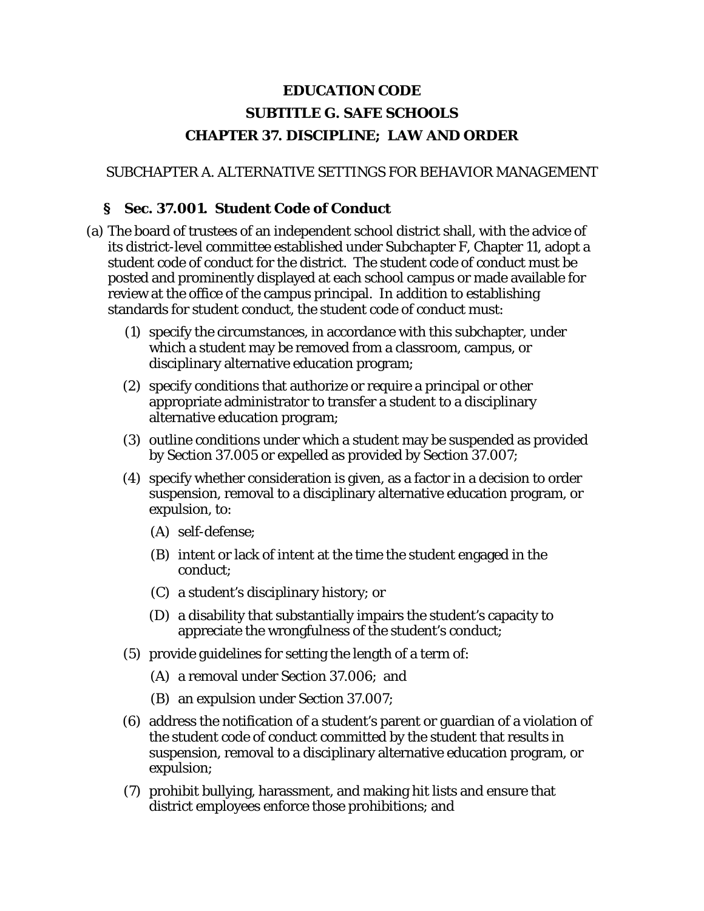# **EDUCATION CODE SUBTITLE G. SAFE SCHOOLS CHAPTER 37. DISCIPLINE; LAW AND ORDER**

*SUBCHAPTER A. ALTERNATIVE SETTINGS FOR BEHAVIOR MANAGEMENT* 

### **§ Sec. 37.001. Student Code of Conduct**

- (a) The board of trustees of an independent school district shall, with the advice of its district-level committee established under Subchapter F, Chapter 11, adopt a student code of conduct for the district. The student code of conduct must be posted and prominently displayed at each school campus or made available for review at the office of the campus principal. In addition to establishing standards for student conduct, the student code of conduct must:
	- (1) specify the circumstances, in accordance with this subchapter, under which a student may be removed from a classroom, campus, or disciplinary alternative education program;
	- (2) specify conditions that authorize or require a principal or other appropriate administrator to transfer a student to a disciplinary alternative education program;
	- (3) outline conditions under which a student may be suspended as provided by Section 37.005 or expelled as provided by Section 37.007;
	- (4) specify whether consideration is given, as a factor in a decision to order suspension, removal to a disciplinary alternative education program, or expulsion, to:
		- (A) self-defense;
		- (B) intent or lack of intent at the time the student engaged in the conduct;
		- (C) a student's disciplinary history; or
		- (D) a disability that substantially impairs the student's capacity to appreciate the wrongfulness of the student's conduct;
	- (5) provide guidelines for setting the length of a term of:
		- (A) a removal under Section 37.006; and
		- (B) an expulsion under Section 37.007;
	- (6) address the notification of a student's parent or guardian of a violation of the student code of conduct committed by the student that results in suspension, removal to a disciplinary alternative education program, or expulsion;
	- (7) prohibit bullying, harassment, and making hit lists and ensure that district employees enforce those prohibitions; and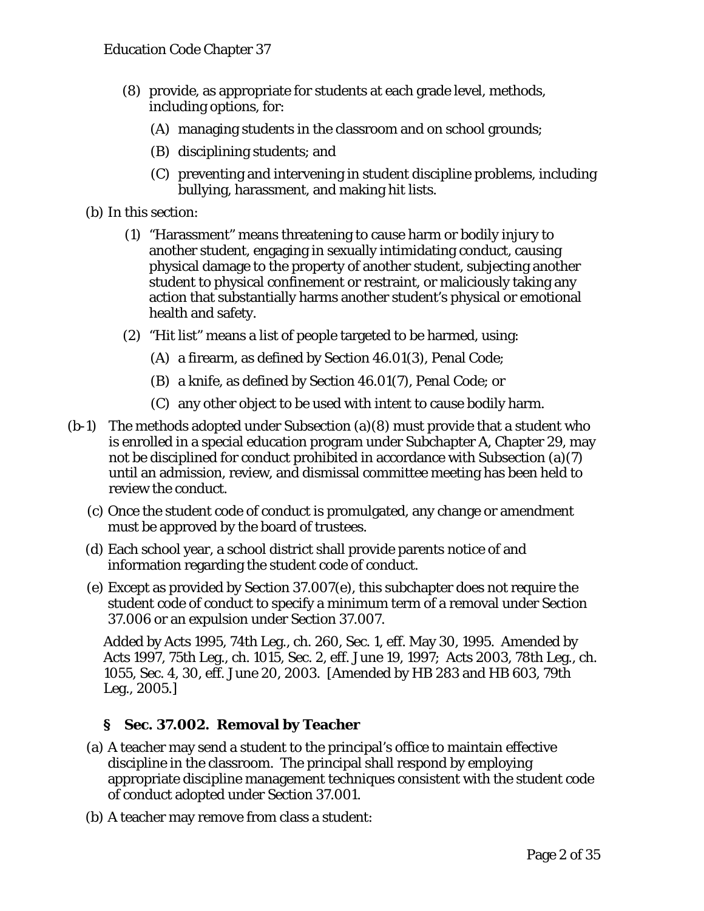- (8) provide, as appropriate for students at each grade level, methods, including options, for:
	- (A) managing students in the classroom and on school grounds;
	- (B) disciplining students; and
	- (C) preventing and intervening in student discipline problems, including bullying, harassment, and making hit lists.
- (b) In this section:
	- (1) "Harassment" means threatening to cause harm or bodily injury to another student, engaging in sexually intimidating conduct, causing physical damage to the property of another student, subjecting another student to physical confinement or restraint, or maliciously taking any action that substantially harms another student's physical or emotional health and safety.
	- (2) "Hit list" means a list of people targeted to be harmed, using:
		- (A) a firearm, as defined by Section 46.01(3), Penal Code;
		- (B) a knife, as defined by Section 46.01(7), Penal Code; or
		- (C) any other object to be used with intent to cause bodily harm.
- (b-1) The methods adopted under Subsection (a)(8) must provide that a student who is enrolled in a special education program under Subchapter A, Chapter 29, may not be disciplined for conduct prohibited in accordance with Subsection (a)(7) until an admission, review, and dismissal committee meeting has been held to review the conduct.
	- (c) Once the student code of conduct is promulgated, any change or amendment must be approved by the board of trustees.
	- (d) Each school year, a school district shall provide parents notice of and information regarding the student code of conduct.
	- (e) Except as provided by Section 37.007(e), this subchapter does not require the student code of conduct to specify a minimum term of a removal under Section 37.006 or an expulsion under Section 37.007.

Added by Acts 1995, 74th Leg., ch. 260, Sec. 1, eff. May 30, 1995. Amended by Acts 1997, 75th Leg., ch. 1015, Sec. 2, eff. June 19, 1997; Acts 2003, 78th Leg., ch. 1055, Sec. 4, 30, eff. June 20, 2003. [Amended by HB 283 and HB 603, 79th Leg., 2005.]

# **§ Sec. 37.002. Removal by Teacher**

- (a) A teacher may send a student to the principal's office to maintain effective discipline in the classroom. The principal shall respond by employing appropriate discipline management techniques consistent with the student code of conduct adopted under Section 37.001.
- (b) A teacher may remove from class a student: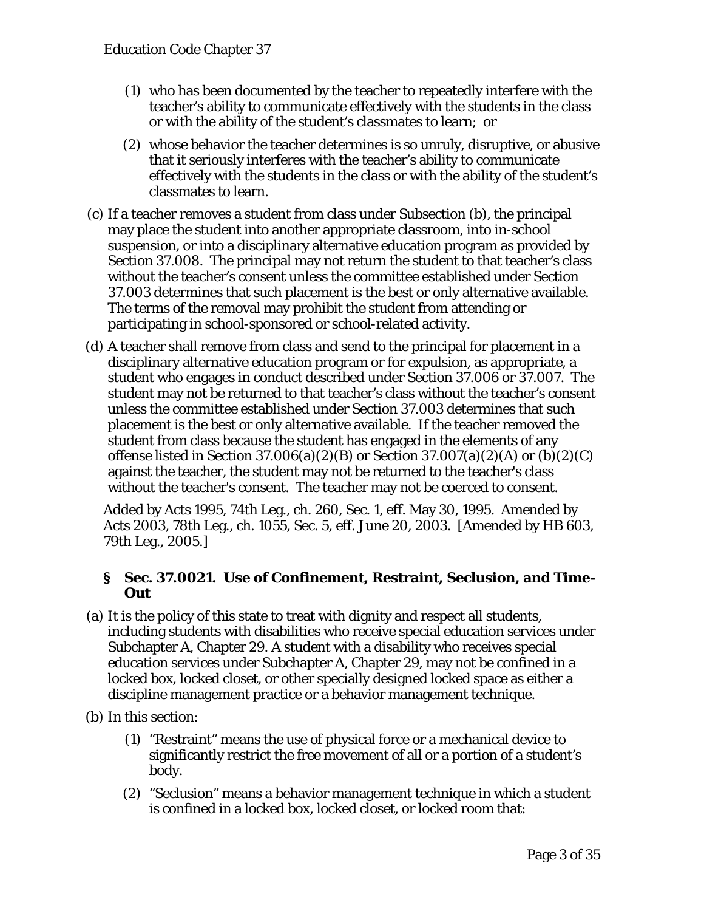- (1) who has been documented by the teacher to repeatedly interfere with the teacher's ability to communicate effectively with the students in the class or with the ability of the student's classmates to learn; or
- (2) whose behavior the teacher determines is so unruly, disruptive, or abusive that it seriously interferes with the teacher's ability to communicate effectively with the students in the class or with the ability of the student's classmates to learn.
- (c) If a teacher removes a student from class under Subsection (b), the principal may place the student into another appropriate classroom, into in-school suspension, or into a disciplinary alternative education program as provided by Section 37.008. The principal may not return the student to that teacher's class without the teacher's consent unless the committee established under Section 37.003 determines that such placement is the best or only alternative available. The terms of the removal may prohibit the student from attending or participating in school-sponsored or school-related activity.
- (d) A teacher shall remove from class and send to the principal for placement in a disciplinary alternative education program or for expulsion, as appropriate, a student who engages in conduct described under Section 37.006 or 37.007. The student may not be returned to that teacher's class without the teacher's consent unless the committee established under Section 37.003 determines that such placement is the best or only alternative available. If the teacher removed the student from class because the student has engaged in the elements of any offense listed in Section 37.006(a)(2)(B) or Section 37.007(a)(2)(A) or (b)(2)(C) against the teacher, the student may not be returned to the teacher's class without the teacher's consent. The teacher may not be coerced to consent.

Added by Acts 1995, 74th Leg., ch. 260, Sec. 1, eff. May 30, 1995. Amended by Acts 2003, 78th Leg., ch. 1055, Sec. 5, eff. June 20, 2003. [Amended by HB 603, 79th Leg., 2005.]

### **§ Sec. 37.0021. Use of Confinement, Restraint, Seclusion, and Time-Out**

- (a) It is the policy of this state to treat with dignity and respect all students, including students with disabilities who receive special education services under Subchapter A, Chapter 29. A student with a disability who receives special education services under Subchapter A, Chapter 29, may not be confined in a locked box, locked closet, or other specially designed locked space as either a discipline management practice or a behavior management technique.
- (b) In this section:
	- (1) "Restraint" means the use of physical force or a mechanical device to significantly restrict the free movement of all or a portion of a student's body.
	- (2) "Seclusion" means a behavior management technique in which a student is confined in a locked box, locked closet, or locked room that: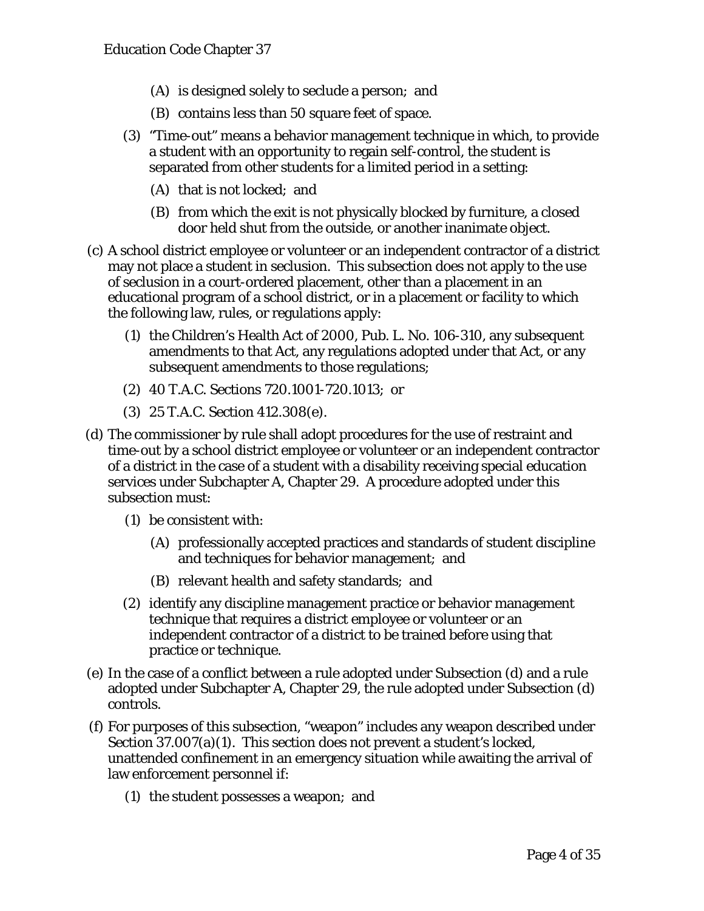- (A) is designed solely to seclude a person; and
- (B) contains less than 50 square feet of space.
- (3) "Time-out" means a behavior management technique in which, to provide a student with an opportunity to regain self-control, the student is separated from other students for a limited period in a setting:
	- (A) that is not locked; and
	- (B) from which the exit is not physically blocked by furniture, a closed door held shut from the outside, or another inanimate object.
- (c) A school district employee or volunteer or an independent contractor of a district may not place a student in seclusion. This subsection does not apply to the use of seclusion in a court-ordered placement, other than a placement in an educational program of a school district, or in a placement or facility to which the following law, rules, or regulations apply:
	- (1) the Children's Health Act of 2000, Pub. L. No. 106-310, any subsequent amendments to that Act, any regulations adopted under that Act, or any subsequent amendments to those regulations;
	- (2) 40 T.A.C. Sections 720.1001-720.1013; or
	- (3) 25 T.A.C. Section 412.308(e).
- (d) The commissioner by rule shall adopt procedures for the use of restraint and time-out by a school district employee or volunteer or an independent contractor of a district in the case of a student with a disability receiving special education services under Subchapter A, Chapter 29. A procedure adopted under this subsection must:
	- (1) be consistent with:
		- (A) professionally accepted practices and standards of student discipline and techniques for behavior management; and
		- (B) relevant health and safety standards; and
	- (2) identify any discipline management practice or behavior management technique that requires a district employee or volunteer or an independent contractor of a district to be trained before using that practice or technique.
- (e) In the case of a conflict between a rule adopted under Subsection (d) and a rule adopted under Subchapter A, Chapter 29, the rule adopted under Subsection (d) controls.
- (f) For purposes of this subsection, "weapon" includes any weapon described under Section 37.007(a)(1). This section does not prevent a student's locked, unattended confinement in an emergency situation while awaiting the arrival of law enforcement personnel if:
	- (1) the student possesses a weapon; and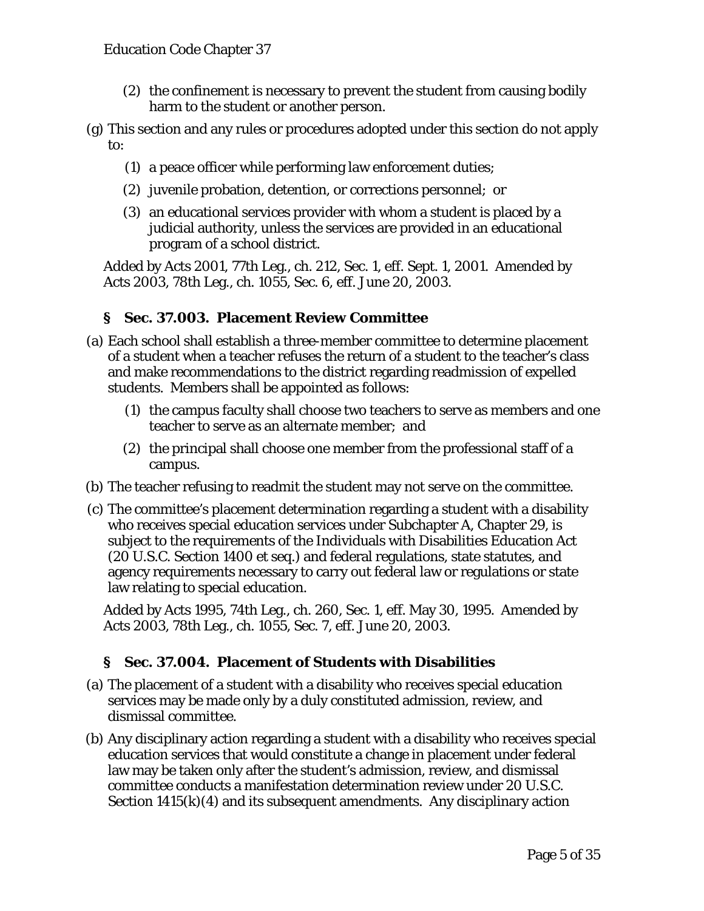- (2) the confinement is necessary to prevent the student from causing bodily harm to the student or another person.
- (g) This section and any rules or procedures adopted under this section do not apply to:
	- (1) a peace officer while performing law enforcement duties;
	- (2) juvenile probation, detention, or corrections personnel; or
	- (3) an educational services provider with whom a student is placed by a judicial authority, unless the services are provided in an educational program of a school district.

Added by Acts 2001, 77th Leg., ch. 212, Sec. 1, eff. Sept. 1, 2001. Amended by Acts 2003, 78th Leg., ch. 1055, Sec. 6, eff. June 20, 2003.

# **§ Sec. 37.003. Placement Review Committee**

- (a) Each school shall establish a three-member committee to determine placement of a student when a teacher refuses the return of a student to the teacher's class and make recommendations to the district regarding readmission of expelled students. Members shall be appointed as follows:
	- (1) the campus faculty shall choose two teachers to serve as members and one teacher to serve as an alternate member; and
	- (2) the principal shall choose one member from the professional staff of a campus.
- (b) The teacher refusing to readmit the student may not serve on the committee.
- (c) The committee's placement determination regarding a student with a disability who receives special education services under Subchapter A, Chapter 29, is subject to the requirements of the Individuals with Disabilities Education Act (20 U.S.C. Section 1400 et seq.) and federal regulations, state statutes, and agency requirements necessary to carry out federal law or regulations or state law relating to special education.

Added by Acts 1995, 74th Leg., ch. 260, Sec. 1, eff. May 30, 1995. Amended by Acts 2003, 78th Leg., ch. 1055, Sec. 7, eff. June 20, 2003.

# **§ Sec. 37.004. Placement of Students with Disabilities**

- (a) The placement of a student with a disability who receives special education services may be made only by a duly constituted admission, review, and dismissal committee.
- (b) Any disciplinary action regarding a student with a disability who receives special education services that would constitute a change in placement under federal law may be taken only after the student's admission, review, and dismissal committee conducts a manifestation determination review under 20 U.S.C. Section 1415(k)(4) and its subsequent amendments. Any disciplinary action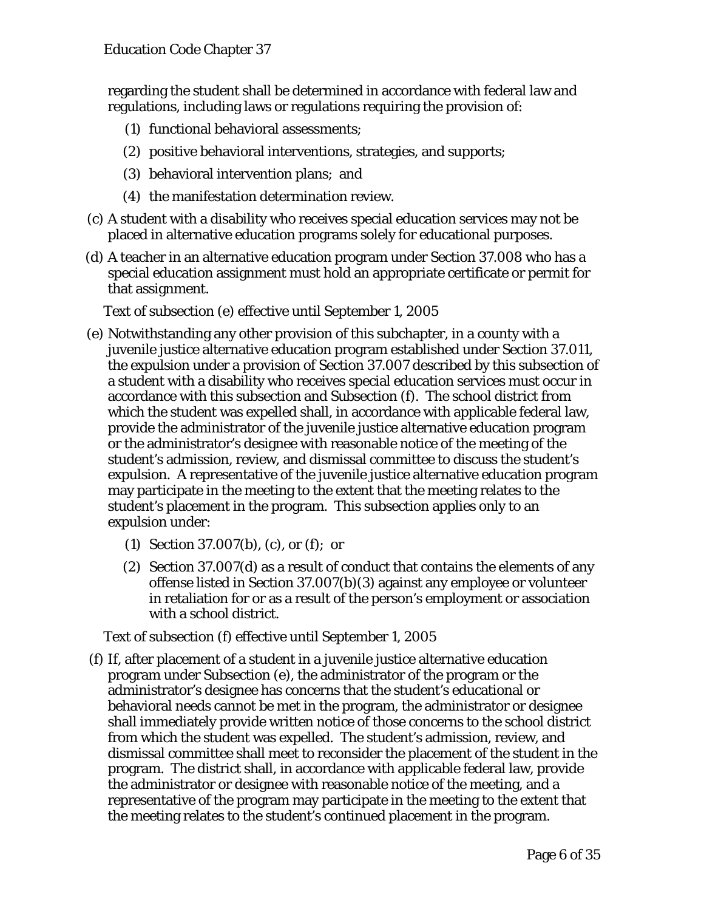#### Education Code Chapter 37

regarding the student shall be determined in accordance with federal law and regulations, including laws or regulations requiring the provision of:

- (1) functional behavioral assessments;
- (2) positive behavioral interventions, strategies, and supports;
- (3) behavioral intervention plans; and
- (4) the manifestation determination review.
- (c) A student with a disability who receives special education services may not be placed in alternative education programs solely for educational purposes.
- (d) A teacher in an alternative education program under Section 37.008 who has a special education assignment must hold an appropriate certificate or permit for that assignment.

Text of subsection (e) effective until September 1, 2005

- (e) Notwithstanding any other provision of this subchapter, in a county with a juvenile justice alternative education program established under Section 37.011, the expulsion under a provision of Section 37.007 described by this subsection of a student with a disability who receives special education services must occur in accordance with this subsection and Subsection (f). The school district from which the student was expelled shall, in accordance with applicable federal law, provide the administrator of the juvenile justice alternative education program or the administrator's designee with reasonable notice of the meeting of the student's admission, review, and dismissal committee to discuss the student's expulsion. A representative of the juvenile justice alternative education program may participate in the meeting to the extent that the meeting relates to the student's placement in the program. This subsection applies only to an expulsion under:
	- (1) Section 37.007(b), (c), or (f); or
	- (2) Section 37.007(d) as a result of conduct that contains the elements of any offense listed in Section 37.007(b)(3) against any employee or volunteer in retaliation for or as a result of the person's employment or association with a school district.

Text of subsection (f) effective until September 1, 2005

(f) If, after placement of a student in a juvenile justice alternative education program under Subsection (e), the administrator of the program or the administrator's designee has concerns that the student's educational or behavioral needs cannot be met in the program, the administrator or designee shall immediately provide written notice of those concerns to the school district from which the student was expelled. The student's admission, review, and dismissal committee shall meet to reconsider the placement of the student in the program. The district shall, in accordance with applicable federal law, provide the administrator or designee with reasonable notice of the meeting, and a representative of the program may participate in the meeting to the extent that the meeting relates to the student's continued placement in the program.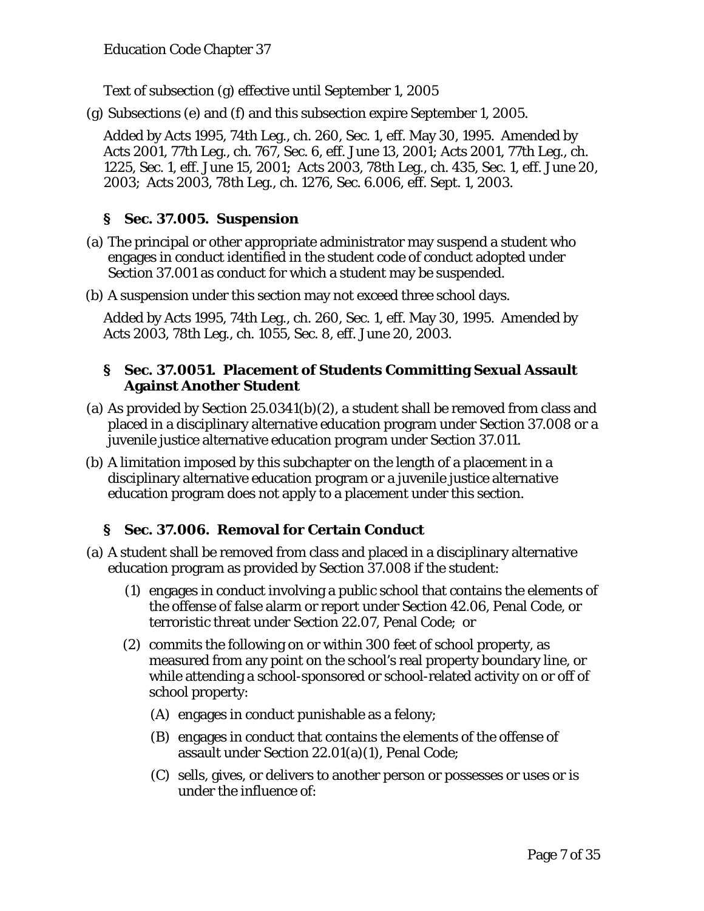Text of subsection (g) effective until September 1, 2005

(g) Subsections (e) and (f) and this subsection expire September 1, 2005.

Added by Acts 1995, 74th Leg., ch. 260, Sec. 1, eff. May 30, 1995. Amended by Acts 2001, 77th Leg., ch. 767, Sec. 6, eff. June 13, 2001; Acts 2001, 77th Leg., ch. 1225, Sec. 1, eff. June 15, 2001; Acts 2003, 78th Leg., ch. 435, Sec. 1, eff. June 20, 2003; Acts 2003, 78th Leg., ch. 1276, Sec. 6.006, eff. Sept. 1, 2003.

### **§ Sec. 37.005. Suspension**

- (a) The principal or other appropriate administrator may suspend a student who engages in conduct identified in the student code of conduct adopted under Section 37.001 as conduct for which a student may be suspended.
- (b) A suspension under this section may not exceed three school days.

Added by Acts 1995, 74th Leg., ch. 260, Sec. 1, eff. May 30, 1995. Amended by Acts 2003, 78th Leg., ch. 1055, Sec. 8, eff. June 20, 2003.

#### **§ Sec. 37.0051. Placement of Students Committing Sexual Assault Against Another Student**

- (a) As provided by Section 25.0341(b)(2), a student shall be removed from class and placed in a disciplinary alternative education program under Section 37.008 or a juvenile justice alternative education program under Section 37.011.
- (b) A limitation imposed by this subchapter on the length of a placement in a disciplinary alternative education program or a juvenile justice alternative education program does not apply to a placement under this section.

# **§ Sec. 37.006. Removal for Certain Conduct**

- (a) A student shall be removed from class and placed in a disciplinary alternative education program as provided by Section 37.008 if the student:
	- (1) engages in conduct involving a public school that contains the elements of the offense of false alarm or report under Section 42.06, Penal Code, or terroristic threat under Section 22.07, Penal Code; or
	- (2) commits the following on or within 300 feet of school property, as measured from any point on the school's real property boundary line, or while attending a school-sponsored or school-related activity on or off of school property:
		- (A) engages in conduct punishable as a felony;
		- (B) engages in conduct that contains the elements of the offense of assault under Section 22.01(a)(1), Penal Code;
		- (C) sells, gives, or delivers to another person or possesses or uses or is under the influence of: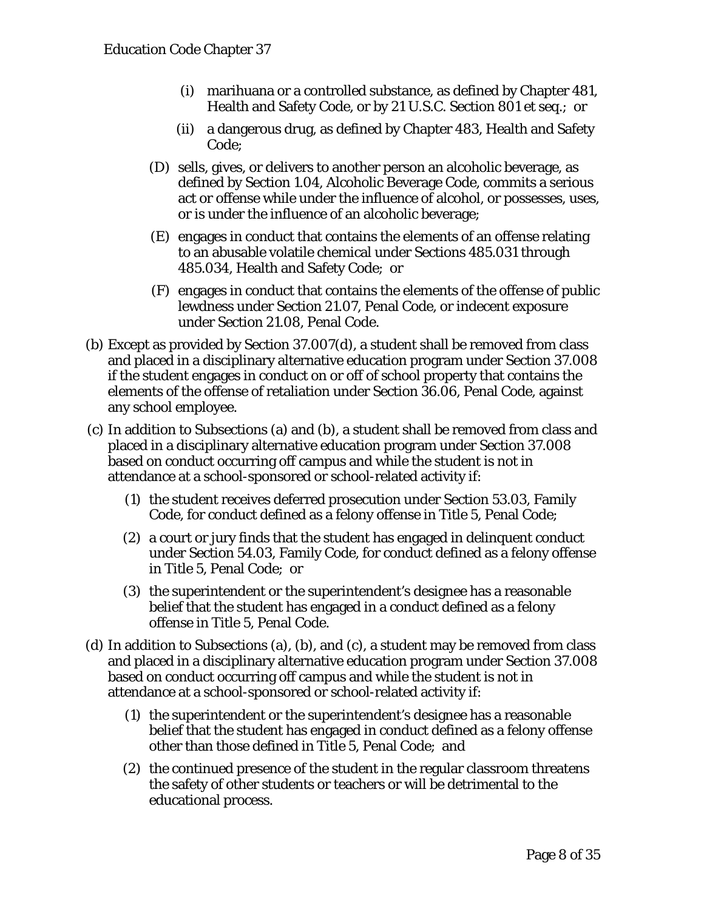- (i) marihuana or a controlled substance, as defined by Chapter 481, Health and Safety Code, or by 21 U.S.C. Section 801 et seq.; or
- (ii) a dangerous drug, as defined by Chapter 483, Health and Safety Code;
- (D) sells, gives, or delivers to another person an alcoholic beverage, as defined by Section 1.04, Alcoholic Beverage Code, commits a serious act or offense while under the influence of alcohol, or possesses, uses, or is under the influence of an alcoholic beverage;
- (E) engages in conduct that contains the elements of an offense relating to an abusable volatile chemical under Sections 485.031 through 485.034, Health and Safety Code; or
- (F) engages in conduct that contains the elements of the offense of public lewdness under Section 21.07, Penal Code, or indecent exposure under Section 21.08, Penal Code.
- (b) Except as provided by Section 37.007(d), a student shall be removed from class and placed in a disciplinary alternative education program under Section 37.008 if the student engages in conduct on or off of school property that contains the elements of the offense of retaliation under Section 36.06, Penal Code, against any school employee.
- (c) In addition to Subsections (a) and (b), a student shall be removed from class and placed in a disciplinary alternative education program under Section 37.008 based on conduct occurring off campus and while the student is not in attendance at a school-sponsored or school-related activity if:
	- (1) the student receives deferred prosecution under Section 53.03, Family Code, for conduct defined as a felony offense in Title 5, Penal Code;
	- (2) a court or jury finds that the student has engaged in delinquent conduct under Section 54.03, Family Code, for conduct defined as a felony offense in Title 5, Penal Code; or
	- (3) the superintendent or the superintendent's designee has a reasonable belief that the student has engaged in a conduct defined as a felony offense in Title 5, Penal Code.
- (d) In addition to Subsections (a), (b), and (c), a student may be removed from class and placed in a disciplinary alternative education program under Section 37.008 based on conduct occurring off campus and while the student is not in attendance at a school-sponsored or school-related activity if:
	- (1) the superintendent or the superintendent's designee has a reasonable belief that the student has engaged in conduct defined as a felony offense other than those defined in Title 5, Penal Code; and
	- (2) the continued presence of the student in the regular classroom threatens the safety of other students or teachers or will be detrimental to the educational process.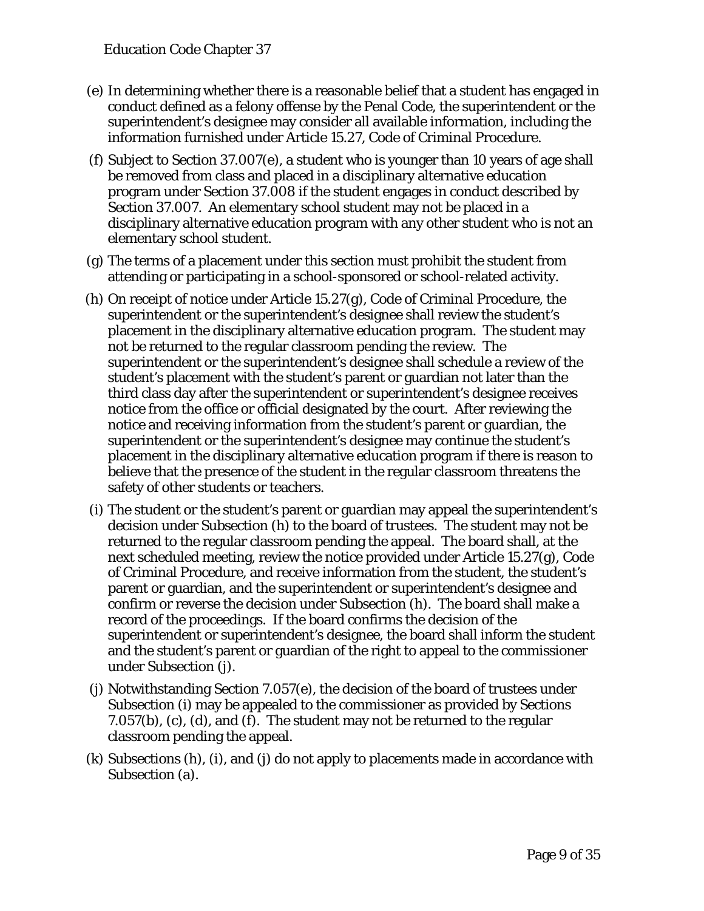- (e) In determining whether there is a reasonable belief that a student has engaged in conduct defined as a felony offense by the Penal Code, the superintendent or the superintendent's designee may consider all available information, including the information furnished under Article 15.27, Code of Criminal Procedure.
- (f) Subject to Section 37.007(e), a student who is younger than 10 years of age shall be removed from class and placed in a disciplinary alternative education program under Section 37.008 if the student engages in conduct described by Section 37.007. An elementary school student may not be placed in a disciplinary alternative education program with any other student who is not an elementary school student.
- (g) The terms of a placement under this section must prohibit the student from attending or participating in a school-sponsored or school-related activity.
- (h) On receipt of notice under Article 15.27(g), Code of Criminal Procedure, the superintendent or the superintendent's designee shall review the student's placement in the disciplinary alternative education program. The student may not be returned to the regular classroom pending the review. The superintendent or the superintendent's designee shall schedule a review of the student's placement with the student's parent or guardian not later than the third class day after the superintendent or superintendent's designee receives notice from the office or official designated by the court. After reviewing the notice and receiving information from the student's parent or guardian, the superintendent or the superintendent's designee may continue the student's placement in the disciplinary alternative education program if there is reason to believe that the presence of the student in the regular classroom threatens the safety of other students or teachers.
- (i) The student or the student's parent or guardian may appeal the superintendent's decision under Subsection (h) to the board of trustees. The student may not be returned to the regular classroom pending the appeal. The board shall, at the next scheduled meeting, review the notice provided under Article 15.27(g), Code of Criminal Procedure, and receive information from the student, the student's parent or guardian, and the superintendent or superintendent's designee and confirm or reverse the decision under Subsection (h). The board shall make a record of the proceedings. If the board confirms the decision of the superintendent or superintendent's designee, the board shall inform the student and the student's parent or guardian of the right to appeal to the commissioner under Subsection (j).
- (j) Notwithstanding Section 7.057(e), the decision of the board of trustees under Subsection (i) may be appealed to the commissioner as provided by Sections 7.057(b), (c), (d), and (f). The student may not be returned to the regular classroom pending the appeal.
- (k) Subsections (h), (i), and (j) do not apply to placements made in accordance with Subsection (a).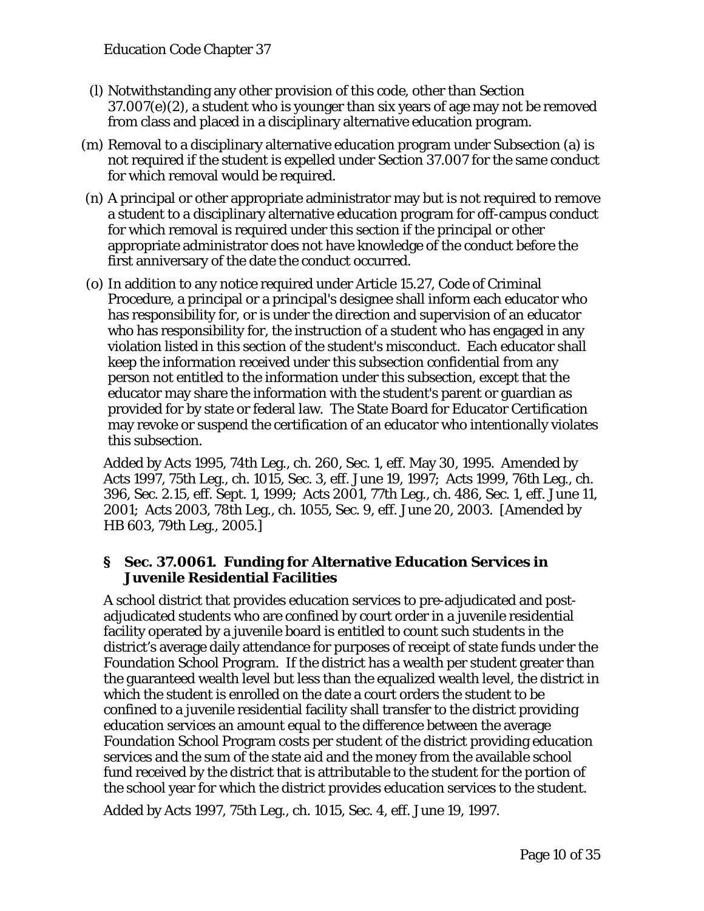Education Code Chapter 37

- (l) Notwithstanding any other provision of this code, other than Section 37.007(e)(2), a student who is younger than six years of age may not be removed from class and placed in a disciplinary alternative education program.
- (m) Removal to a disciplinary alternative education program under Subsection (a) is not required if the student is expelled under Section 37.007 for the same conduct for which removal would be required.
- (n) A principal or other appropriate administrator may but is not required to remove a student to a disciplinary alternative education program for off-campus conduct for which removal is required under this section if the principal or other appropriate administrator does not have knowledge of the conduct before the first anniversary of the date the conduct occurred.
- (o) In addition to any notice required under Article 15.27, Code of Criminal Procedure, a principal or a principal's designee shall inform each educator who has responsibility for, or is under the direction and supervision of an educator who has responsibility for, the instruction of a student who has engaged in any violation listed in this section of the student's misconduct. Each educator shall keep the information received under this subsection confidential from any person not entitled to the information under this subsection, except that the educator may share the information with the student's parent or guardian as provided for by state or federal law. The State Board for Educator Certification may revoke or suspend the certification of an educator who intentionally violates this subsection.

Added by Acts 1995, 74th Leg., ch. 260, Sec. 1, eff. May 30, 1995. Amended by Acts 1997, 75th Leg., ch. 1015, Sec. 3, eff. June 19, 1997; Acts 1999, 76th Leg., ch. 396, Sec. 2.15, eff. Sept. 1, 1999; Acts 2001, 77th Leg., ch. 486, Sec. 1, eff. June 11, 2001; Acts 2003, 78th Leg., ch. 1055, Sec. 9, eff. June 20, 2003. [Amended by HB 603, 79th Leg., 2005.]

#### **§ Sec. 37.0061. Funding for Alternative Education Services in Juvenile Residential Facilities**

A school district that provides education services to pre-adjudicated and postadjudicated students who are confined by court order in a juvenile residential facility operated by a juvenile board is entitled to count such students in the district's average daily attendance for purposes of receipt of state funds under the Foundation School Program. If the district has a wealth per student greater than the guaranteed wealth level but less than the equalized wealth level, the district in which the student is enrolled on the date a court orders the student to be confined to a juvenile residential facility shall transfer to the district providing education services an amount equal to the difference between the average Foundation School Program costs per student of the district providing education services and the sum of the state aid and the money from the available school fund received by the district that is attributable to the student for the portion of the school year for which the district provides education services to the student.

Added by Acts 1997, 75th Leg., ch. 1015, Sec. 4, eff. June 19, 1997.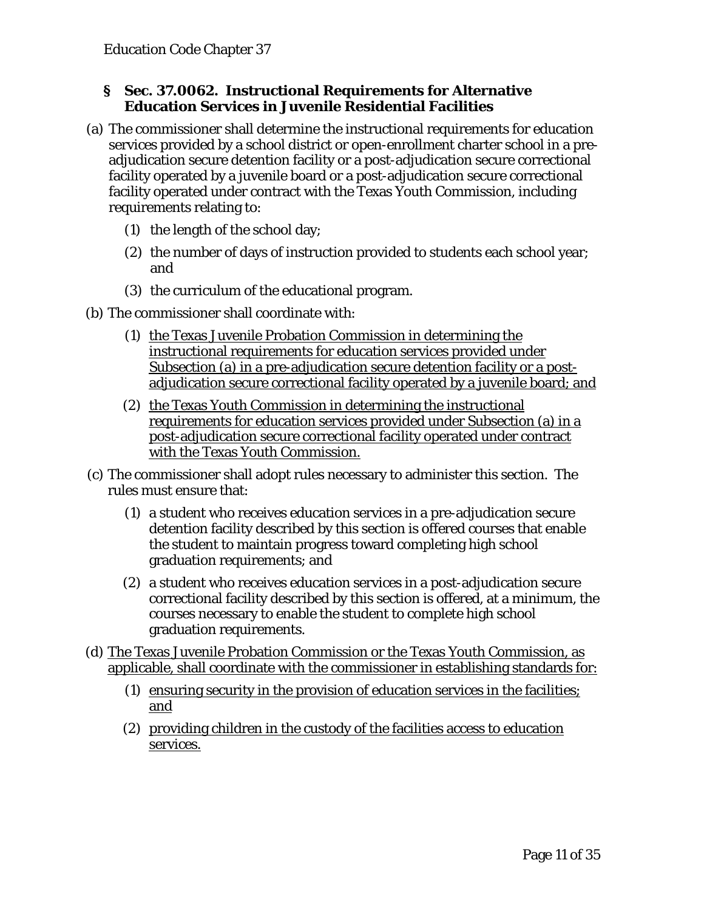### **§ Sec. 37.0062. Instructional Requirements for Alternative Education Services in Juvenile Residential Facilities**

- (a) The commissioner shall determine the instructional requirements for education services provided by a school district or open-enrollment charter school in a preadjudication secure detention facility or a post-adjudication secure correctional facility operated by a juvenile board or a post-adjudication secure correctional facility operated under contract with the Texas Youth Commission, including requirements relating to:
	- (1) the length of the school day;
	- (2) the number of days of instruction provided to students each school year; and
	- (3) the curriculum of the educational program.
- (b) The commissioner shall coordinate with:
	- (1) the Texas Juvenile Probation Commission in determining the instructional requirements for education services provided under Subsection (a) in a pre-adjudication secure detention facility or a postadjudication secure correctional facility operated by a juvenile board; and
	- (2) the Texas Youth Commission in determining the instructional requirements for education services provided under Subsection (a) in a post-adjudication secure correctional facility operated under contract with the Texas Youth Commission.
- (c) The commissioner shall adopt rules necessary to administer this section. The rules must ensure that:
	- (1) a student who receives education services in a pre-adjudication secure detention facility described by this section is offered courses that enable the student to maintain progress toward completing high school graduation requirements; and
	- (2) a student who receives education services in a post-adjudication secure correctional facility described by this section is offered, at a minimum, the courses necessary to enable the student to complete high school graduation requirements.
- (d) The Texas Juvenile Probation Commission or the Texas Youth Commission, as applicable, shall coordinate with the commissioner in establishing standards for:
	- (1) ensuring security in the provision of education services in the facilities; and
	- (2) providing children in the custody of the facilities access to education services.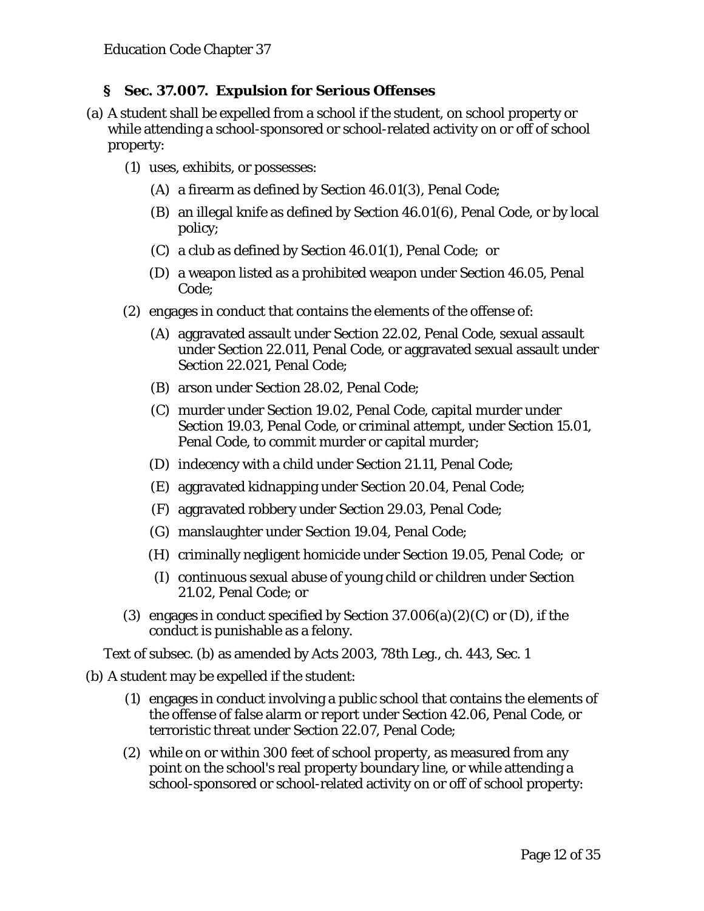### **§ Sec. 37.007. Expulsion for Serious Offenses**

- (a) A student shall be expelled from a school if the student, on school property or while attending a school-sponsored or school-related activity on or off of school property:
	- (1) uses, exhibits, or possesses:
		- (A) a firearm as defined by Section 46.01(3), Penal Code;
		- (B) an illegal knife as defined by Section 46.01(6), Penal Code, or by local policy;
		- (C) a club as defined by Section 46.01(1), Penal Code; or
		- (D) a weapon listed as a prohibited weapon under Section 46.05, Penal Code;
	- (2) engages in conduct that contains the elements of the offense of:
		- (A) aggravated assault under Section 22.02, Penal Code, sexual assault under Section 22.011, Penal Code, or aggravated sexual assault under Section 22.021, Penal Code;
		- (B) arson under Section 28.02, Penal Code;
		- (C) murder under Section 19.02, Penal Code, capital murder under Section 19.03, Penal Code, or criminal attempt, under Section 15.01, Penal Code, to commit murder or capital murder;
		- (D) indecency with a child under Section 21.11, Penal Code;
		- (E) aggravated kidnapping under Section 20.04, Penal Code;
		- (F) aggravated robbery under Section 29.03, Penal Code;
		- (G) manslaughter under Section 19.04, Penal Code;
		- (H) criminally negligent homicide under Section 19.05, Penal Code; or
		- (I) continuous sexual abuse of young child or children under Section 21.02, Penal Code; or
	- (3) engages in conduct specified by Section  $37.006(a)(2)(C)$  or (D), if the conduct is punishable as a felony.

Text of subsec. (b) as amended by Acts 2003, 78th Leg., ch. 443, Sec. 1

- (b) A student may be expelled if the student:
	- (1) engages in conduct involving a public school that contains the elements of the offense of false alarm or report under Section 42.06, Penal Code, or terroristic threat under Section 22.07, Penal Code;
	- (2) while on or within 300 feet of school property, as measured from any point on the school's real property boundary line, or while attending a school-sponsored or school-related activity on or off of school property: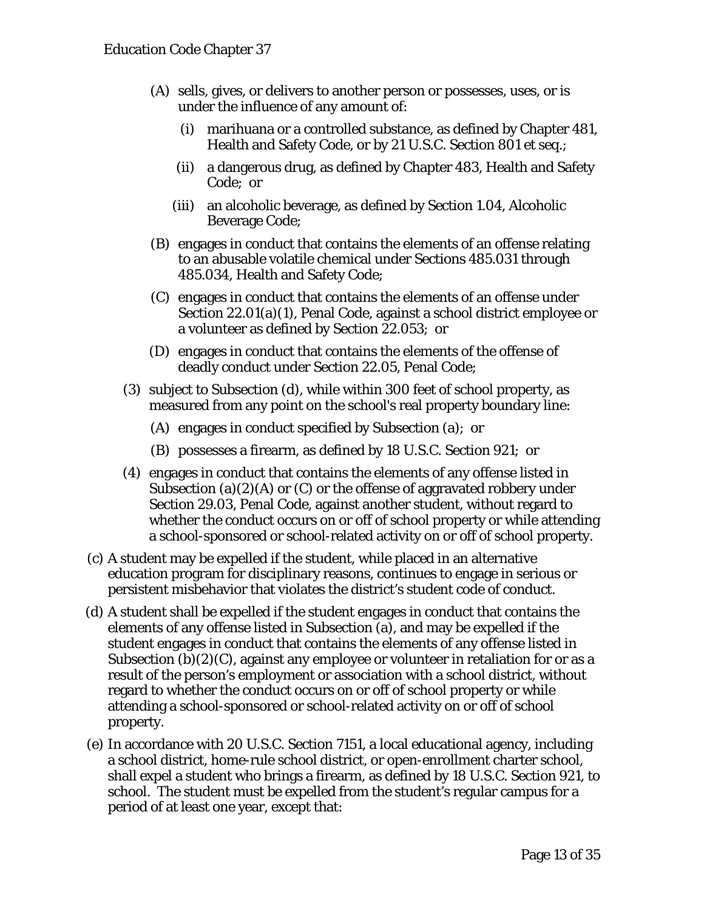- (A) sells, gives, or delivers to another person or possesses, uses, or is under the influence of any amount of:
	- (i) marihuana or a controlled substance, as defined by Chapter 481, Health and Safety Code, or by 21 U.S.C. Section 801 et seq.;
	- (ii) a dangerous drug, as defined by Chapter 483, Health and Safety Code; or
	- (iii) an alcoholic beverage, as defined by Section 1.04, Alcoholic Beverage Code;
- (B) engages in conduct that contains the elements of an offense relating to an abusable volatile chemical under Sections 485.031 through 485.034, Health and Safety Code;
- (C) engages in conduct that contains the elements of an offense under Section 22.01(a)(1), Penal Code, against a school district employee or a volunteer as defined by Section 22.053; or
- (D) engages in conduct that contains the elements of the offense of deadly conduct under Section 22.05, Penal Code;
- (3) subject to Subsection (d), while within 300 feet of school property, as measured from any point on the school's real property boundary line:
	- (A) engages in conduct specified by Subsection (a); or
	- (B) possesses a firearm, as defined by 18 U.S.C. Section 921; or
- (4) engages in conduct that contains the elements of any offense listed in Subsection (a) $(2)(A)$  or  $(C)$  or the offense of aggravated robbery under Section 29.03, Penal Code, against another student, without regard to whether the conduct occurs on or off of school property or while attending a school-sponsored or school-related activity on or off of school property.
- (c) A student may be expelled if the student, while placed in an alternative education program for disciplinary reasons, continues to engage in serious or persistent misbehavior that violates the district's student code of conduct.
- (d) A student shall be expelled if the student engages in conduct that contains the elements of any offense listed in Subsection (a), and may be expelled if the student engages in conduct that contains the elements of any offense listed in Subsection  $(b)(2)(C)$ , against any employee or volunteer in retaliation for or as a result of the person's employment or association with a school district, without regard to whether the conduct occurs on or off of school property or while attending a school-sponsored or school-related activity on or off of school property.
- (e) In accordance with 20 U.S.C. Section 7151, a local educational agency, including a school district, home-rule school district, or open-enrollment charter school, shall expel a student who brings a firearm, as defined by 18 U.S.C. Section 921, to school. The student must be expelled from the student's regular campus for a period of at least one year, except that: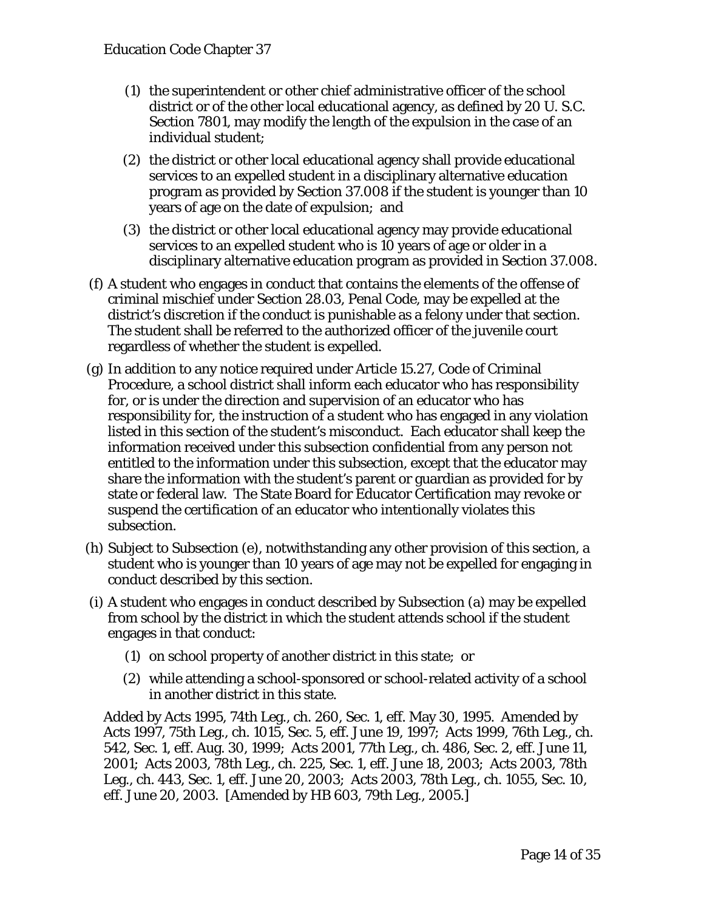- (1) the superintendent or other chief administrative officer of the school district or of the other local educational agency, as defined by 20 U. S.C. Section 7801, may modify the length of the expulsion in the case of an individual student;
- (2) the district or other local educational agency shall provide educational services to an expelled student in a disciplinary alternative education program as provided by Section 37.008 if the student is younger than 10 years of age on the date of expulsion; and
- (3) the district or other local educational agency may provide educational services to an expelled student who is 10 years of age or older in a disciplinary alternative education program as provided in Section 37.008.
- (f) A student who engages in conduct that contains the elements of the offense of criminal mischief under Section 28.03, Penal Code, may be expelled at the district's discretion if the conduct is punishable as a felony under that section. The student shall be referred to the authorized officer of the juvenile court regardless of whether the student is expelled.
- (g) In addition to any notice required under Article 15.27, Code of Criminal Procedure, a school district shall inform each educator who has responsibility for, or is under the direction and supervision of an educator who has responsibility for, the instruction of a student who has engaged in any violation listed in this section of the student's misconduct. Each educator shall keep the information received under this subsection confidential from any person not entitled to the information under this subsection, except that the educator may share the information with the student's parent or guardian as provided for by state or federal law. The State Board for Educator Certification may revoke or suspend the certification of an educator who intentionally violates this subsection.
- (h) Subject to Subsection (e), notwithstanding any other provision of this section, a student who is younger than 10 years of age may not be expelled for engaging in conduct described by this section.
- (i) A student who engages in conduct described by Subsection (a) may be expelled from school by the district in which the student attends school if the student engages in that conduct:
	- (1) on school property of another district in this state; or
	- (2) while attending a school-sponsored or school-related activity of a school in another district in this state.

Added by Acts 1995, 74th Leg., ch. 260, Sec. 1, eff. May 30, 1995. Amended by Acts 1997, 75th Leg., ch. 1015, Sec. 5, eff. June 19, 1997; Acts 1999, 76th Leg., ch. 542, Sec. 1, eff. Aug. 30, 1999; Acts 2001, 77th Leg., ch. 486, Sec. 2, eff. June 11, 2001; Acts 2003, 78th Leg., ch. 225, Sec. 1, eff. June 18, 2003; Acts 2003, 78th Leg., ch. 443, Sec. 1, eff. June 20, 2003; Acts 2003, 78th Leg., ch. 1055, Sec. 10, eff. June 20, 2003. [Amended by HB 603, 79th Leg., 2005.]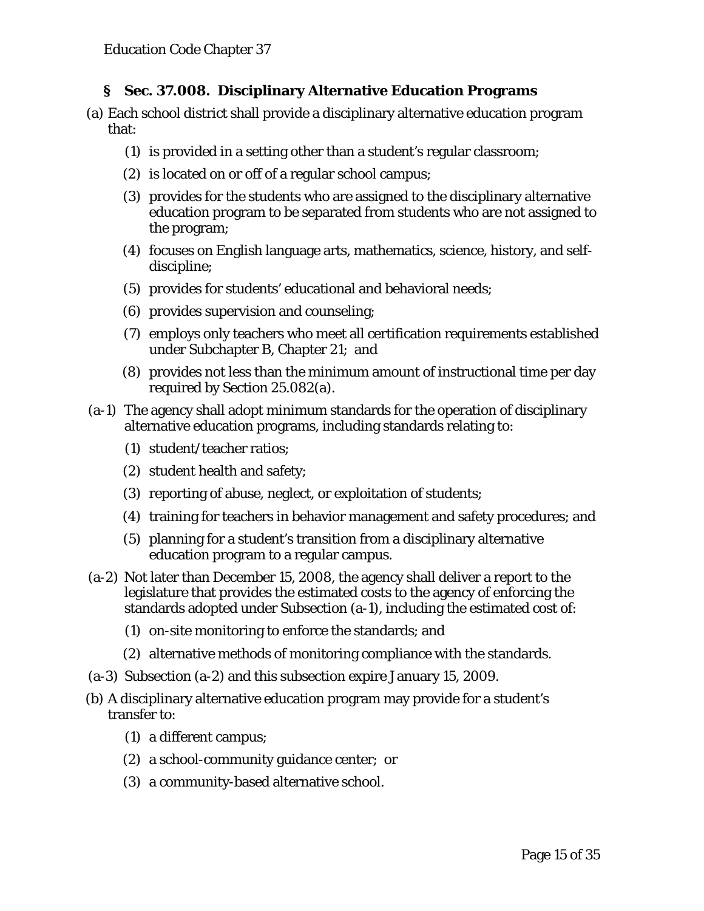### **§ Sec. 37.008. Disciplinary Alternative Education Programs**

- (a) Each school district shall provide a disciplinary alternative education program that:
	- (1) is provided in a setting other than a student's regular classroom;
	- (2) is located on or off of a regular school campus;
	- (3) provides for the students who are assigned to the disciplinary alternative education program to be separated from students who are not assigned to the program;
	- (4) focuses on English language arts, mathematics, science, history, and selfdiscipline;
	- (5) provides for students' educational and behavioral needs;
	- (6) provides supervision and counseling;
	- (7) employs only teachers who meet all certification requirements established under Subchapter B, Chapter 21; and
	- (8) provides not less than the minimum amount of instructional time per day required by Section 25.082(a).
- (a-1) The agency shall adopt minimum standards for the operation of disciplinary alternative education programs, including standards relating to:
	- (1) student/teacher ratios;
	- (2) student health and safety;
	- (3) reporting of abuse, neglect, or exploitation of students;
	- (4) training for teachers in behavior management and safety procedures; and
	- (5) planning for a student's transition from a disciplinary alternative education program to a regular campus.
- (a-2) Not later than December 15, 2008, the agency shall deliver a report to the legislature that provides the estimated costs to the agency of enforcing the standards adopted under Subsection (a-1), including the estimated cost of:
	- (1) on-site monitoring to enforce the standards; and
	- (2) alternative methods of monitoring compliance with the standards.
- (a-3) Subsection (a-2) and this subsection expire January 15, 2009.
- (b) A disciplinary alternative education program may provide for a student's transfer to:
	- (1) a different campus;
	- (2) a school-community guidance center; or
	- (3) a community-based alternative school.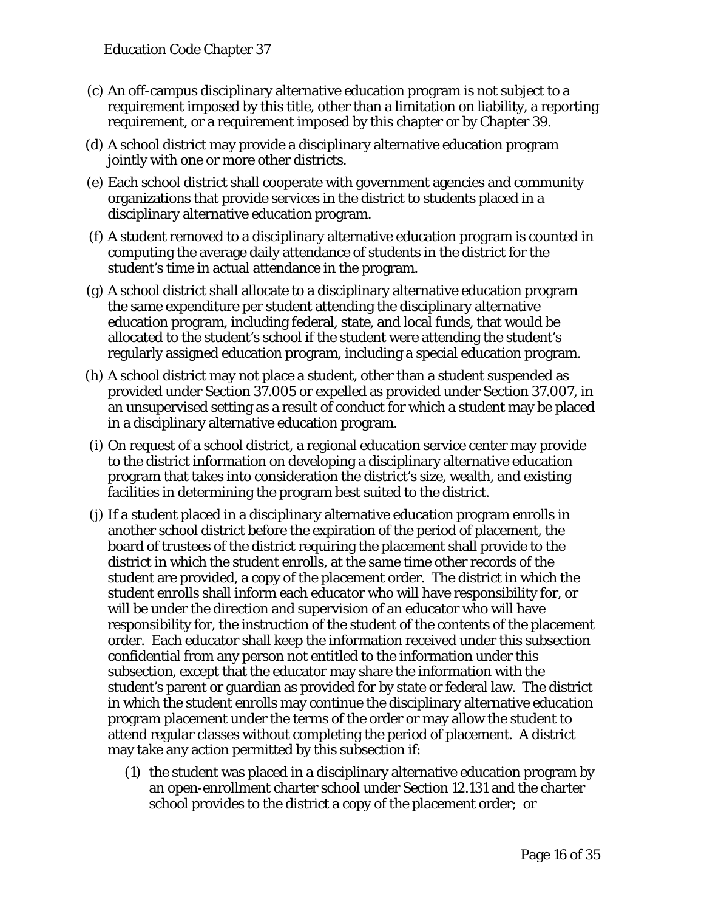Education Code Chapter 37

- (c) An off-campus disciplinary alternative education program is not subject to a requirement imposed by this title, other than a limitation on liability, a reporting requirement, or a requirement imposed by this chapter or by Chapter 39.
- (d) A school district may provide a disciplinary alternative education program jointly with one or more other districts.
- (e) Each school district shall cooperate with government agencies and community organizations that provide services in the district to students placed in a disciplinary alternative education program.
- (f) A student removed to a disciplinary alternative education program is counted in computing the average daily attendance of students in the district for the student's time in actual attendance in the program.
- (g) A school district shall allocate to a disciplinary alternative education program the same expenditure per student attending the disciplinary alternative education program, including federal, state, and local funds, that would be allocated to the student's school if the student were attending the student's regularly assigned education program, including a special education program.
- (h) A school district may not place a student, other than a student suspended as provided under Section 37.005 or expelled as provided under Section 37.007, in an unsupervised setting as a result of conduct for which a student may be placed in a disciplinary alternative education program.
- (i) On request of a school district, a regional education service center may provide to the district information on developing a disciplinary alternative education program that takes into consideration the district's size, wealth, and existing facilities in determining the program best suited to the district.
- (j) If a student placed in a disciplinary alternative education program enrolls in another school district before the expiration of the period of placement, the board of trustees of the district requiring the placement shall provide to the district in which the student enrolls, at the same time other records of the student are provided, a copy of the placement order. The district in which the student enrolls shall inform each educator who will have responsibility for, or will be under the direction and supervision of an educator who will have responsibility for, the instruction of the student of the contents of the placement order. Each educator shall keep the information received under this subsection confidential from any person not entitled to the information under this subsection, except that the educator may share the information with the student's parent or guardian as provided for by state or federal law. The district in which the student enrolls may continue the disciplinary alternative education program placement under the terms of the order or may allow the student to attend regular classes without completing the period of placement. A district may take any action permitted by this subsection if:
	- (1) the student was placed in a disciplinary alternative education program by an open-enrollment charter school under Section 12.131 and the charter school provides to the district a copy of the placement order; or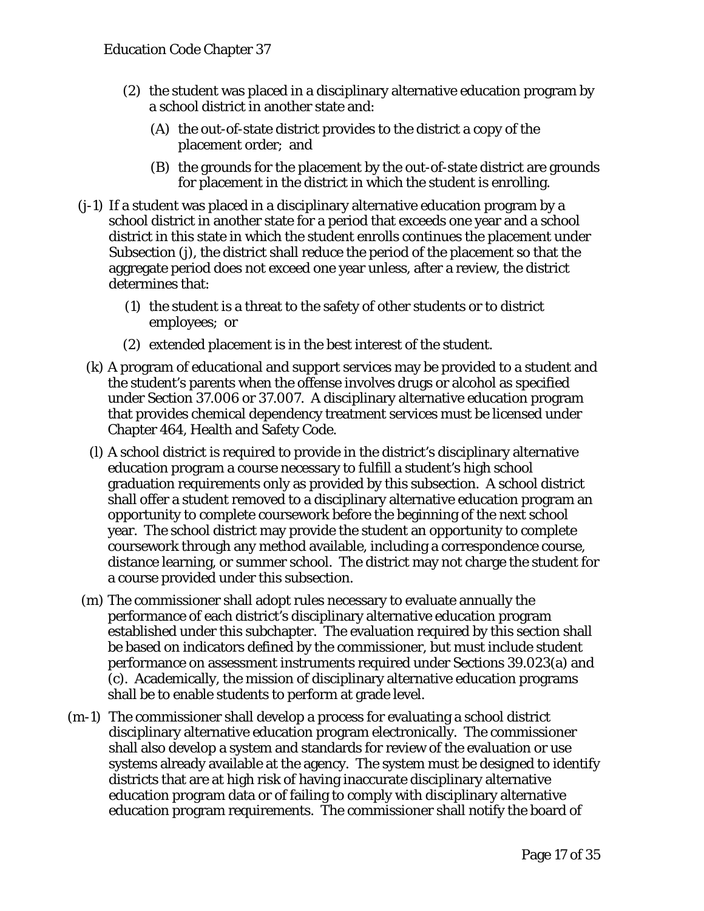- (2) the student was placed in a disciplinary alternative education program by a school district in another state and:
	- (A) the out-of-state district provides to the district a copy of the placement order; and
	- (B) the grounds for the placement by the out-of-state district are grounds for placement in the district in which the student is enrolling.
- (j-1) If a student was placed in a disciplinary alternative education program by a school district in another state for a period that exceeds one year and a school district in this state in which the student enrolls continues the placement under Subsection (j), the district shall reduce the period of the placement so that the aggregate period does not exceed one year unless, after a review, the district determines that:
	- (1) the student is a threat to the safety of other students or to district employees; or
	- (2) extended placement is in the best interest of the student.
	- (k) A program of educational and support services may be provided to a student and the student's parents when the offense involves drugs or alcohol as specified under Section 37.006 or 37.007. A disciplinary alternative education program that provides chemical dependency treatment services must be licensed under Chapter 464, Health and Safety Code.
	- (l) A school district is required to provide in the district's disciplinary alternative education program a course necessary to fulfill a student's high school graduation requirements only as provided by this subsection. A school district shall offer a student removed to a disciplinary alternative education program an opportunity to complete coursework before the beginning of the next school year. The school district may provide the student an opportunity to complete coursework through any method available, including a correspondence course, distance learning, or summer school. The district may not charge the student for a course provided under this subsection.
- (m) The commissioner shall adopt rules necessary to evaluate annually the performance of each district's disciplinary alternative education program established under this subchapter. The evaluation required by this section shall be based on indicators defined by the commissioner, but must include student performance on assessment instruments required under Sections 39.023(a) and (c). Academically, the mission of disciplinary alternative education programs shall be to enable students to perform at grade level.
- (m-1) The commissioner shall develop a process for evaluating a school district disciplinary alternative education program electronically. The commissioner shall also develop a system and standards for review of the evaluation or use systems already available at the agency. The system must be designed to identify districts that are at high risk of having inaccurate disciplinary alternative education program data or of failing to comply with disciplinary alternative education program requirements. The commissioner shall notify the board of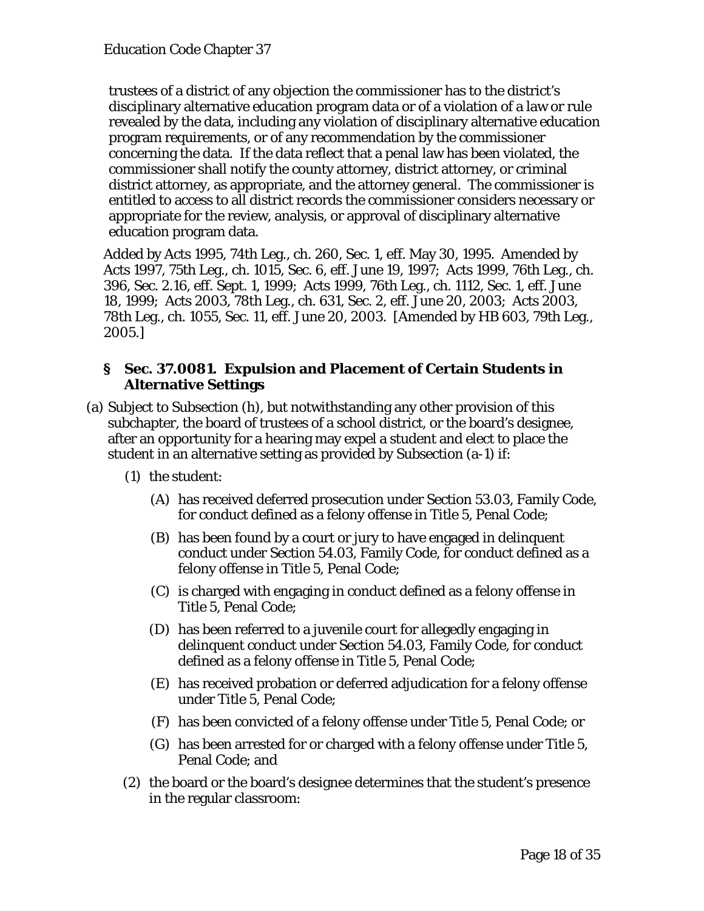trustees of a district of any objection the commissioner has to the district's disciplinary alternative education program data or of a violation of a law or rule revealed by the data, including any violation of disciplinary alternative education program requirements, or of any recommendation by the commissioner concerning the data. If the data reflect that a penal law has been violated, the commissioner shall notify the county attorney, district attorney, or criminal district attorney, as appropriate, and the attorney general. The commissioner is entitled to access to all district records the commissioner considers necessary or appropriate for the review, analysis, or approval of disciplinary alternative education program data.

Added by Acts 1995, 74th Leg., ch. 260, Sec. 1, eff. May 30, 1995. Amended by Acts 1997, 75th Leg., ch. 1015, Sec. 6, eff. June 19, 1997; Acts 1999, 76th Leg., ch. 396, Sec. 2.16, eff. Sept. 1, 1999; Acts 1999, 76th Leg., ch. 1112, Sec. 1, eff. June 18, 1999; Acts 2003, 78th Leg., ch. 631, Sec. 2, eff. June 20, 2003; Acts 2003, 78th Leg., ch. 1055, Sec. 11, eff. June 20, 2003. [Amended by HB 603, 79th Leg., 2005.]

### **§ Sec. 37.0081. Expulsion and Placement of Certain Students in Alternative Settings**

- (a) Subject to Subsection (h), but notwithstanding any other provision of this subchapter, the board of trustees of a school district, or the board's designee, after an opportunity for a hearing may expel a student and elect to place the student in an alternative setting as provided by Subsection (a-1) if:
	- (1) the student:
		- (A) has received deferred prosecution under Section 53.03, Family Code, for conduct defined as a felony offense in Title 5, Penal Code;
		- (B) has been found by a court or jury to have engaged in delinquent conduct under Section 54.03, Family Code, for conduct defined as a felony offense in Title 5, Penal Code;
		- (C) is charged with engaging in conduct defined as a felony offense in Title 5, Penal Code;
		- (D) has been referred to a juvenile court for allegedly engaging in delinquent conduct under Section 54.03, Family Code, for conduct defined as a felony offense in Title 5, Penal Code;
		- (E) has received probation or deferred adjudication for a felony offense under Title 5, Penal Code;
		- (F) has been convicted of a felony offense under Title 5, Penal Code; or
		- (G) has been arrested for or charged with a felony offense under Title 5, Penal Code; and
	- (2) the board or the board's designee determines that the student's presence in the regular classroom: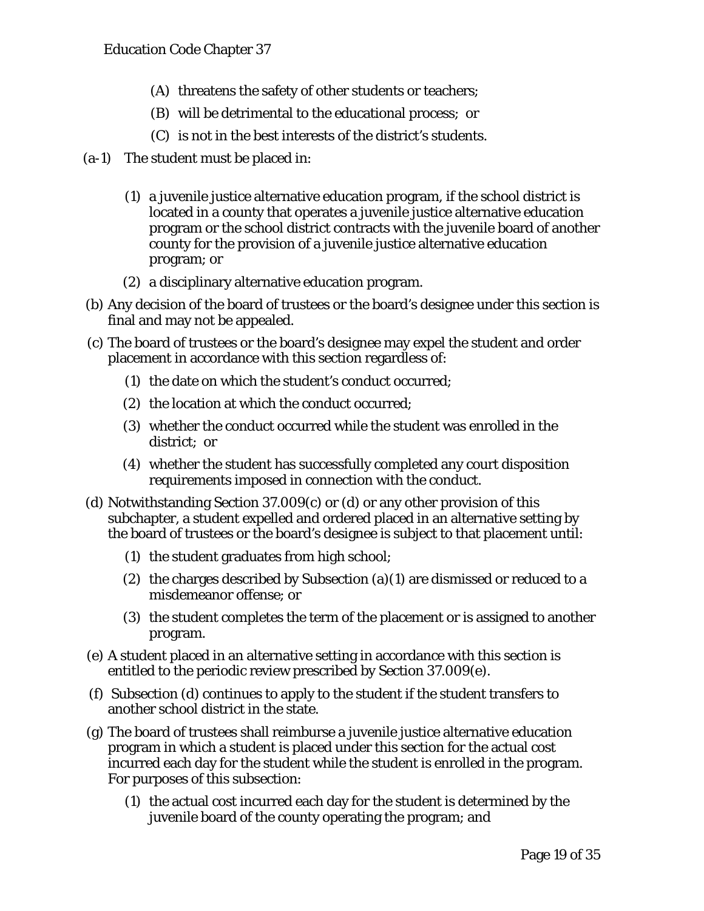- (A) threatens the safety of other students or teachers;
- (B) will be detrimental to the educational process; or
- (C) is not in the best interests of the district's students.
- (a-1) The student must be placed in:
	- (1) a juvenile justice alternative education program, if the school district is located in a county that operates a juvenile justice alternative education program or the school district contracts with the juvenile board of another county for the provision of a juvenile justice alternative education program; or
	- (2) a disciplinary alternative education program.
- (b) Any decision of the board of trustees or the board's designee under this section is final and may not be appealed.
- (c) The board of trustees or the board's designee may expel the student and order placement in accordance with this section regardless of:
	- (1) the date on which the student's conduct occurred;
	- (2) the location at which the conduct occurred;
	- (3) whether the conduct occurred while the student was enrolled in the district; or
	- (4) whether the student has successfully completed any court disposition requirements imposed in connection with the conduct.
- (d) Notwithstanding Section 37.009(c) or (d) or any other provision of this subchapter, a student expelled and ordered placed in an alternative setting by the board of trustees or the board's designee is subject to that placement until:
	- (1) the student graduates from high school;
	- (2) the charges described by Subsection (a)(1) are dismissed or reduced to a misdemeanor offense; or
	- (3) the student completes the term of the placement or is assigned to another program.
- (e) A student placed in an alternative setting in accordance with this section is entitled to the periodic review prescribed by Section 37.009(e).
- (f) Subsection (d) continues to apply to the student if the student transfers to another school district in the state.
- (g) The board of trustees shall reimburse a juvenile justice alternative education program in which a student is placed under this section for the actual cost incurred each day for the student while the student is enrolled in the program. For purposes of this subsection:
	- (1) the actual cost incurred each day for the student is determined by the juvenile board of the county operating the program; and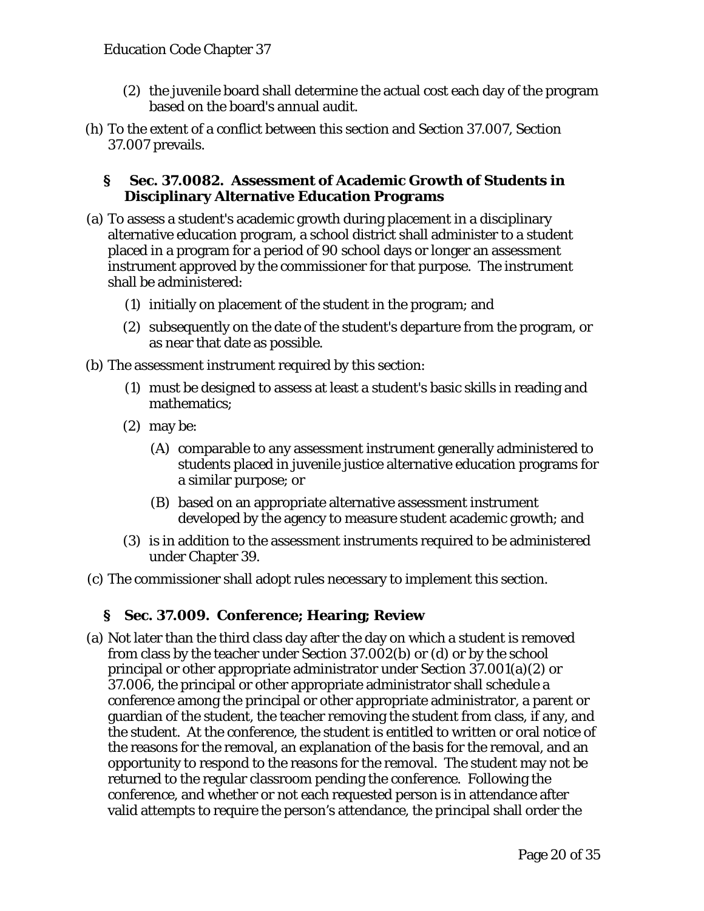- (2) the juvenile board shall determine the actual cost each day of the program based on the board's annual audit.
- (h) To the extent of a conflict between this section and Section 37.007, Section 37.007 prevails.

### **§ Sec. 37.0082. Assessment of Academic Growth of Students in Disciplinary Alternative Education Programs**

- (a) To assess a student's academic growth during placement in a disciplinary alternative education program, a school district shall administer to a student placed in a program for a period of 90 school days or longer an assessment instrument approved by the commissioner for that purpose. The instrument shall be administered:
	- (1) initially on placement of the student in the program; and
	- (2) subsequently on the date of the student's departure from the program, or as near that date as possible.
- (b) The assessment instrument required by this section:
	- (1) must be designed to assess at least a student's basic skills in reading and mathematics;
	- (2) may be:
		- (A) comparable to any assessment instrument generally administered to students placed in juvenile justice alternative education programs for a similar purpose; or
		- (B) based on an appropriate alternative assessment instrument developed by the agency to measure student academic growth; and
	- (3) is in addition to the assessment instruments required to be administered under Chapter 39.
- (c) The commissioner shall adopt rules necessary to implement this section.

### **§ Sec. 37.009. Conference; Hearing; Review**

(a) Not later than the third class day after the day on which a student is removed from class by the teacher under Section 37.002(b) or (d) or by the school principal or other appropriate administrator under Section 37.001(a)(2) or 37.006, the principal or other appropriate administrator shall schedule a conference among the principal or other appropriate administrator, a parent or guardian of the student, the teacher removing the student from class, if any, and the student. At the conference, the student is entitled to written or oral notice of the reasons for the removal, an explanation of the basis for the removal, and an opportunity to respond to the reasons for the removal. The student may not be returned to the regular classroom pending the conference. Following the conference, and whether or not each requested person is in attendance after valid attempts to require the person's attendance, the principal shall order the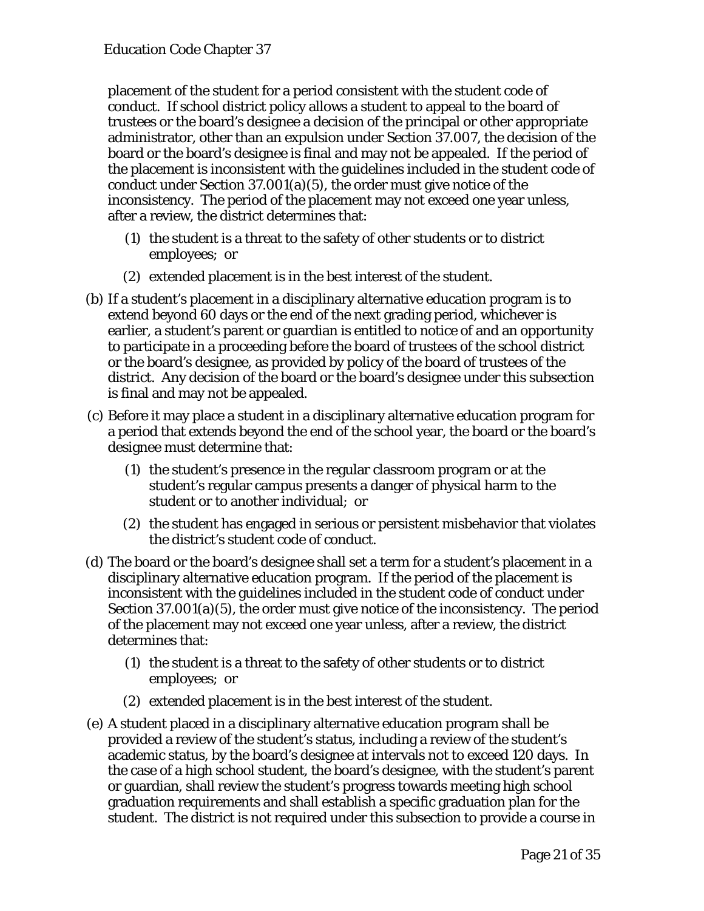placement of the student for a period consistent with the student code of conduct. If school district policy allows a student to appeal to the board of trustees or the board's designee a decision of the principal or other appropriate administrator, other than an expulsion under Section 37.007, the decision of the board or the board's designee is final and may not be appealed. If the period of the placement is inconsistent with the guidelines included in the student code of conduct under Section 37.001(a)(5), the order must give notice of the inconsistency. The period of the placement may not exceed one year unless, after a review, the district determines that:

- (1) the student is a threat to the safety of other students or to district employees; or
- (2) extended placement is in the best interest of the student.
- (b) If a student's placement in a disciplinary alternative education program is to extend beyond 60 days or the end of the next grading period, whichever is earlier, a student's parent or guardian is entitled to notice of and an opportunity to participate in a proceeding before the board of trustees of the school district or the board's designee, as provided by policy of the board of trustees of the district. Any decision of the board or the board's designee under this subsection is final and may not be appealed.
- (c) Before it may place a student in a disciplinary alternative education program for a period that extends beyond the end of the school year, the board or the board's designee must determine that:
	- (1) the student's presence in the regular classroom program or at the student's regular campus presents a danger of physical harm to the student or to another individual; or
	- (2) the student has engaged in serious or persistent misbehavior that violates the district's student code of conduct.
- (d) The board or the board's designee shall set a term for a student's placement in a disciplinary alternative education program. If the period of the placement is inconsistent with the guidelines included in the student code of conduct under Section 37.001(a)(5), the order must give notice of the inconsistency. The period of the placement may not exceed one year unless, after a review, the district determines that:
	- (1) the student is a threat to the safety of other students or to district employees; or
	- (2) extended placement is in the best interest of the student.
- (e) A student placed in a disciplinary alternative education program shall be provided a review of the student's status, including a review of the student's academic status, by the board's designee at intervals not to exceed 120 days. In the case of a high school student, the board's designee, with the student's parent or guardian, shall review the student's progress towards meeting high school graduation requirements and shall establish a specific graduation plan for the student. The district is not required under this subsection to provide a course in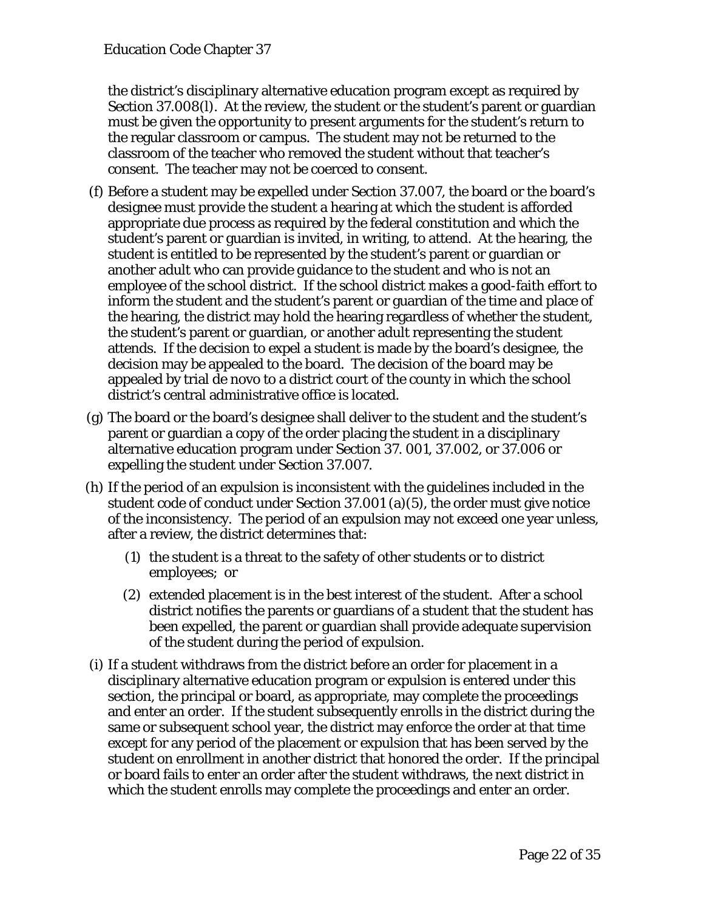the district's disciplinary alternative education program except as required by Section 37.008(l). At the review, the student or the student's parent or guardian must be given the opportunity to present arguments for the student's return to the regular classroom or campus. The student may not be returned to the classroom of the teacher who removed the student without that teacher's consent. The teacher may not be coerced to consent.

- (f) Before a student may be expelled under Section 37.007, the board or the board's designee must provide the student a hearing at which the student is afforded appropriate due process as required by the federal constitution and which the student's parent or guardian is invited, in writing, to attend. At the hearing, the student is entitled to be represented by the student's parent or guardian or another adult who can provide guidance to the student and who is not an employee of the school district. If the school district makes a good-faith effort to inform the student and the student's parent or guardian of the time and place of the hearing, the district may hold the hearing regardless of whether the student, the student's parent or guardian, or another adult representing the student attends. If the decision to expel a student is made by the board's designee, the decision may be appealed to the board. The decision of the board may be appealed by trial de novo to a district court of the county in which the school district's central administrative office is located.
- (g) The board or the board's designee shall deliver to the student and the student's parent or guardian a copy of the order placing the student in a disciplinary alternative education program under Section 37. 001, 37.002, or 37.006 or expelling the student under Section 37.007.
- (h) If the period of an expulsion is inconsistent with the guidelines included in the student code of conduct under Section 37.001 (a)(5), the order must give notice of the inconsistency. The period of an expulsion may not exceed one year unless, after a review, the district determines that:
	- (1) the student is a threat to the safety of other students or to district employees; or
	- (2) extended placement is in the best interest of the student. After a school district notifies the parents or guardians of a student that the student has been expelled, the parent or guardian shall provide adequate supervision of the student during the period of expulsion.
- (i) If a student withdraws from the district before an order for placement in a disciplinary alternative education program or expulsion is entered under this section, the principal or board, as appropriate, may complete the proceedings and enter an order. If the student subsequently enrolls in the district during the same or subsequent school year, the district may enforce the order at that time except for any period of the placement or expulsion that has been served by the student on enrollment in another district that honored the order. If the principal or board fails to enter an order after the student withdraws, the next district in which the student enrolls may complete the proceedings and enter an order.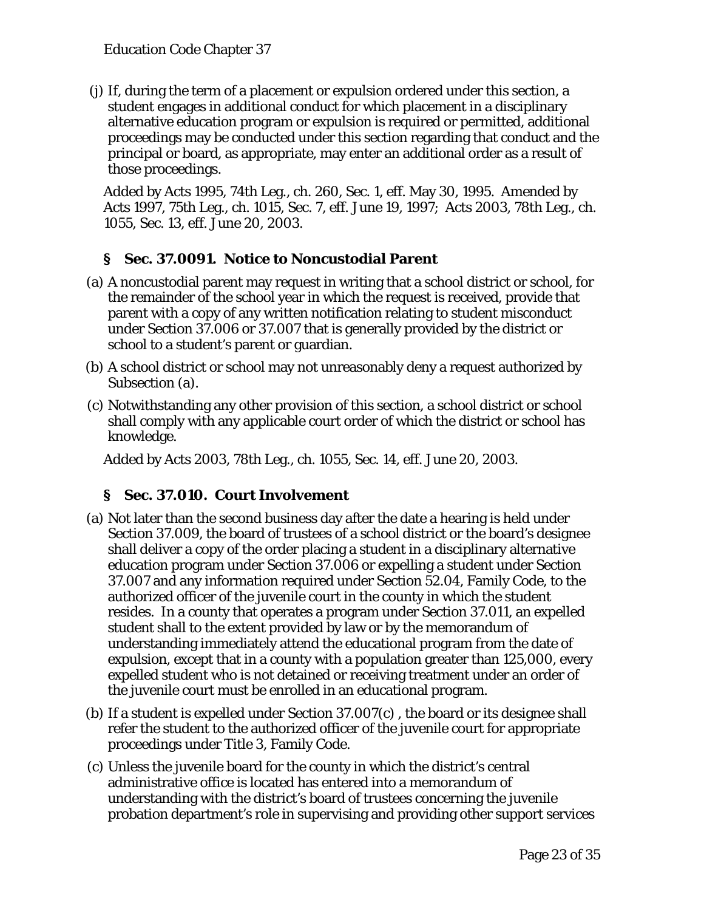(j) If, during the term of a placement or expulsion ordered under this section, a student engages in additional conduct for which placement in a disciplinary alternative education program or expulsion is required or permitted, additional proceedings may be conducted under this section regarding that conduct and the principal or board, as appropriate, may enter an additional order as a result of those proceedings.

Added by Acts 1995, 74th Leg., ch. 260, Sec. 1, eff. May 30, 1995. Amended by Acts 1997, 75th Leg., ch. 1015, Sec. 7, eff. June 19, 1997; Acts 2003, 78th Leg., ch. 1055, Sec. 13, eff. June 20, 2003.

### **§ Sec. 37.0091. Notice to Noncustodial Parent**

- (a) A noncustodial parent may request in writing that a school district or school, for the remainder of the school year in which the request is received, provide that parent with a copy of any written notification relating to student misconduct under Section 37.006 or 37.007 that is generally provided by the district or school to a student's parent or guardian.
- (b) A school district or school may not unreasonably deny a request authorized by Subsection (a).
- (c) Notwithstanding any other provision of this section, a school district or school shall comply with any applicable court order of which the district or school has knowledge.

Added by Acts 2003, 78th Leg., ch. 1055, Sec. 14, eff. June 20, 2003.

# **§ Sec. 37.010. Court Involvement**

- (a) Not later than the second business day after the date a hearing is held under Section 37.009, the board of trustees of a school district or the board's designee shall deliver a copy of the order placing a student in a disciplinary alternative education program under Section 37.006 or expelling a student under Section 37.007 and any information required under Section 52.04, Family Code, to the authorized officer of the juvenile court in the county in which the student resides. In a county that operates a program under Section 37.011, an expelled student shall to the extent provided by law or by the memorandum of understanding immediately attend the educational program from the date of expulsion, except that in a county with a population greater than 125,000, every expelled student who is not detained or receiving treatment under an order of the juvenile court must be enrolled in an educational program.
- (b) If a student is expelled under Section 37.007(c) , the board or its designee shall refer the student to the authorized officer of the juvenile court for appropriate proceedings under Title 3, Family Code.
- (c) Unless the juvenile board for the county in which the district's central administrative office is located has entered into a memorandum of understanding with the district's board of trustees concerning the juvenile probation department's role in supervising and providing other support services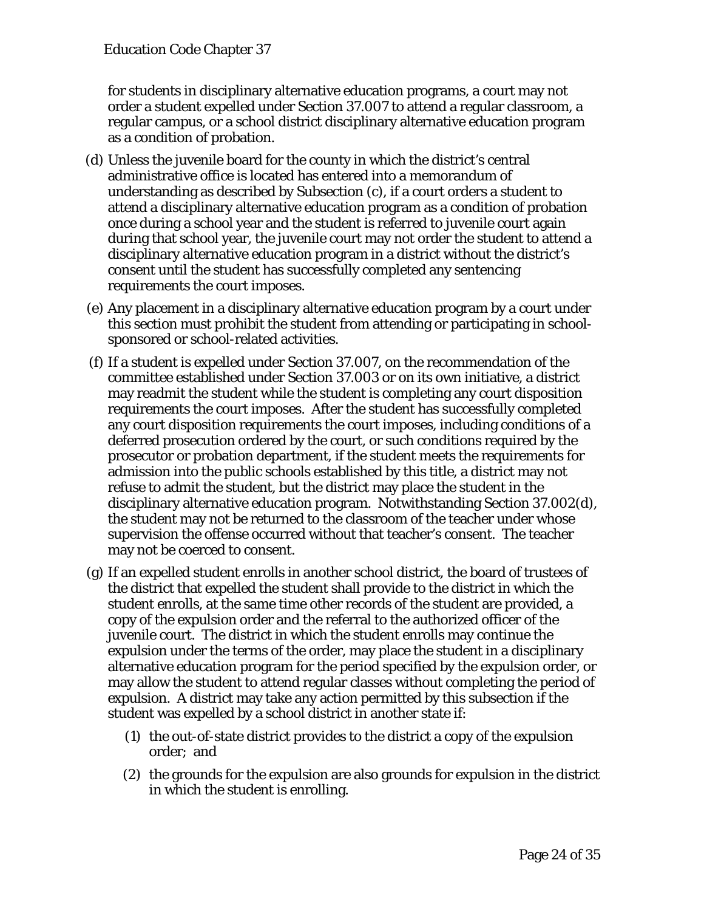for students in disciplinary alternative education programs, a court may not order a student expelled under Section 37.007 to attend a regular classroom, a regular campus, or a school district disciplinary alternative education program as a condition of probation.

- (d) Unless the juvenile board for the county in which the district's central administrative office is located has entered into a memorandum of understanding as described by Subsection (c), if a court orders a student to attend a disciplinary alternative education program as a condition of probation once during a school year and the student is referred to juvenile court again during that school year, the juvenile court may not order the student to attend a disciplinary alternative education program in a district without the district's consent until the student has successfully completed any sentencing requirements the court imposes.
- (e) Any placement in a disciplinary alternative education program by a court under this section must prohibit the student from attending or participating in schoolsponsored or school-related activities.
- (f) If a student is expelled under Section 37.007, on the recommendation of the committee established under Section 37.003 or on its own initiative, a district may readmit the student while the student is completing any court disposition requirements the court imposes. After the student has successfully completed any court disposition requirements the court imposes, including conditions of a deferred prosecution ordered by the court, or such conditions required by the prosecutor or probation department, if the student meets the requirements for admission into the public schools established by this title, a district may not refuse to admit the student, but the district may place the student in the disciplinary alternative education program. Notwithstanding Section 37.002(d), the student may not be returned to the classroom of the teacher under whose supervision the offense occurred without that teacher's consent. The teacher may not be coerced to consent.
- (g) If an expelled student enrolls in another school district, the board of trustees of the district that expelled the student shall provide to the district in which the student enrolls, at the same time other records of the student are provided, a copy of the expulsion order and the referral to the authorized officer of the juvenile court. The district in which the student enrolls may continue the expulsion under the terms of the order, may place the student in a disciplinary alternative education program for the period specified by the expulsion order, or may allow the student to attend regular classes without completing the period of expulsion. A district may take any action permitted by this subsection if the student was expelled by a school district in another state if:
	- (1) the out-of-state district provides to the district a copy of the expulsion order; and
	- (2) the grounds for the expulsion are also grounds for expulsion in the district in which the student is enrolling.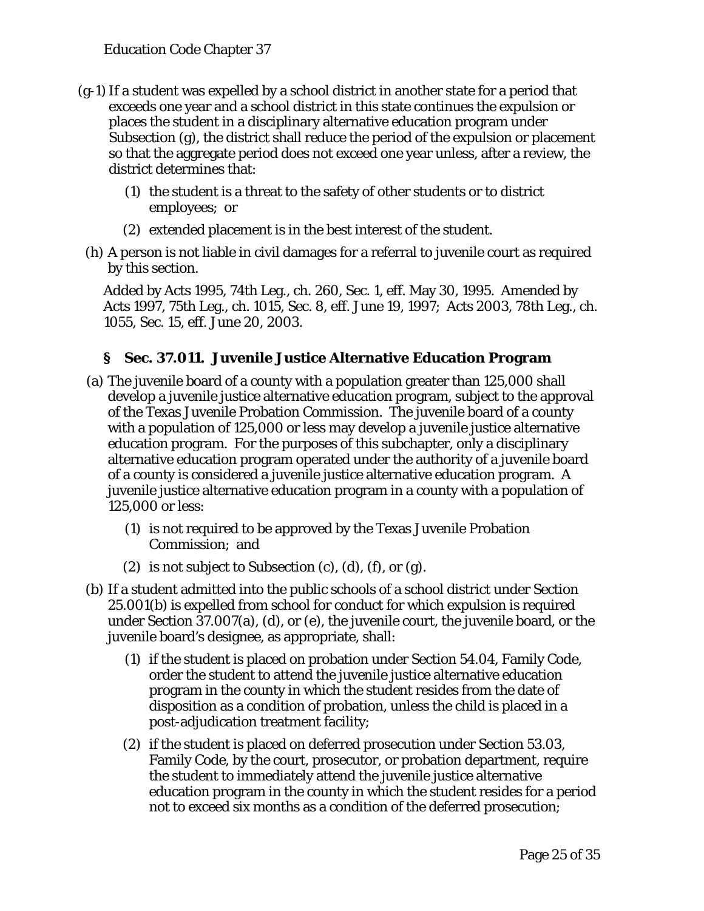- (g-1) If a student was expelled by a school district in another state for a period that exceeds one year and a school district in this state continues the expulsion or places the student in a disciplinary alternative education program under Subsection (g), the district shall reduce the period of the expulsion or placement so that the aggregate period does not exceed one year unless, after a review, the district determines that:
	- (1) the student is a threat to the safety of other students or to district employees; or
	- (2) extended placement is in the best interest of the student.
- (h) A person is not liable in civil damages for a referral to juvenile court as required by this section.

Added by Acts 1995, 74th Leg., ch. 260, Sec. 1, eff. May 30, 1995. Amended by Acts 1997, 75th Leg., ch. 1015, Sec. 8, eff. June 19, 1997; Acts 2003, 78th Leg., ch. 1055, Sec. 15, eff. June 20, 2003.

# **§ Sec. 37.011. Juvenile Justice Alternative Education Program**

- (a) The juvenile board of a county with a population greater than 125,000 shall develop a juvenile justice alternative education program, subject to the approval of the Texas Juvenile Probation Commission. The juvenile board of a county with a population of 125,000 or less may develop a juvenile justice alternative education program. For the purposes of this subchapter, only a disciplinary alternative education program operated under the authority of a juvenile board of a county is considered a juvenile justice alternative education program. A juvenile justice alternative education program in a county with a population of 125,000 or less:
	- (1) is not required to be approved by the Texas Juvenile Probation Commission; and
	- (2) is not subject to Subsection  $(c)$ ,  $(d)$ ,  $(f)$ , or  $(g)$ .
- (b) If a student admitted into the public schools of a school district under Section 25.001(b) is expelled from school for conduct for which expulsion is required under Section 37.007(a), (d), or (e), the juvenile court, the juvenile board, or the juvenile board's designee, as appropriate, shall:
	- (1) if the student is placed on probation under Section 54.04, Family Code, order the student to attend the juvenile justice alternative education program in the county in which the student resides from the date of disposition as a condition of probation, unless the child is placed in a post-adjudication treatment facility;
	- (2) if the student is placed on deferred prosecution under Section 53.03, Family Code, by the court, prosecutor, or probation department, require the student to immediately attend the juvenile justice alternative education program in the county in which the student resides for a period not to exceed six months as a condition of the deferred prosecution;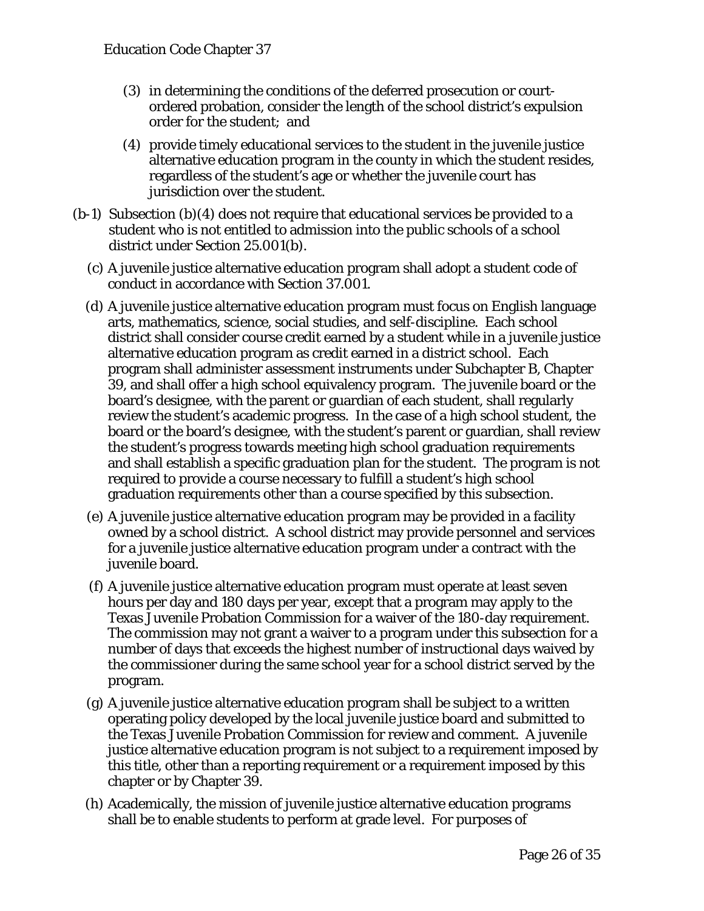- (3) in determining the conditions of the deferred prosecution or courtordered probation, consider the length of the school district's expulsion order for the student; and
- (4) provide timely educational services to the student in the juvenile justice alternative education program in the county in which the student resides, regardless of the student's age or whether the juvenile court has jurisdiction over the student.
- (b-1) Subsection (b)(4) does not require that educational services be provided to a student who is not entitled to admission into the public schools of a school district under Section 25.001(b).
	- (c) A juvenile justice alternative education program shall adopt a student code of conduct in accordance with Section 37.001.
	- (d) A juvenile justice alternative education program must focus on English language arts, mathematics, science, social studies, and self-discipline. Each school district shall consider course credit earned by a student while in a juvenile justice alternative education program as credit earned in a district school. Each program shall administer assessment instruments under Subchapter B, Chapter 39, and shall offer a high school equivalency program. The juvenile board or the board's designee, with the parent or guardian of each student, shall regularly review the student's academic progress. In the case of a high school student, the board or the board's designee, with the student's parent or guardian, shall review the student's progress towards meeting high school graduation requirements and shall establish a specific graduation plan for the student. The program is not required to provide a course necessary to fulfill a student's high school graduation requirements other than a course specified by this subsection.
	- (e) A juvenile justice alternative education program may be provided in a facility owned by a school district. A school district may provide personnel and services for a juvenile justice alternative education program under a contract with the juvenile board.
	- (f) A juvenile justice alternative education program must operate at least seven hours per day and 180 days per year, except that a program may apply to the Texas Juvenile Probation Commission for a waiver of the 180-day requirement. The commission may not grant a waiver to a program under this subsection for a number of days that exceeds the highest number of instructional days waived by the commissioner during the same school year for a school district served by the program.
	- (g) A juvenile justice alternative education program shall be subject to a written operating policy developed by the local juvenile justice board and submitted to the Texas Juvenile Probation Commission for review and comment. A juvenile justice alternative education program is not subject to a requirement imposed by this title, other than a reporting requirement or a requirement imposed by this chapter or by Chapter 39.
	- (h) Academically, the mission of juvenile justice alternative education programs shall be to enable students to perform at grade level. For purposes of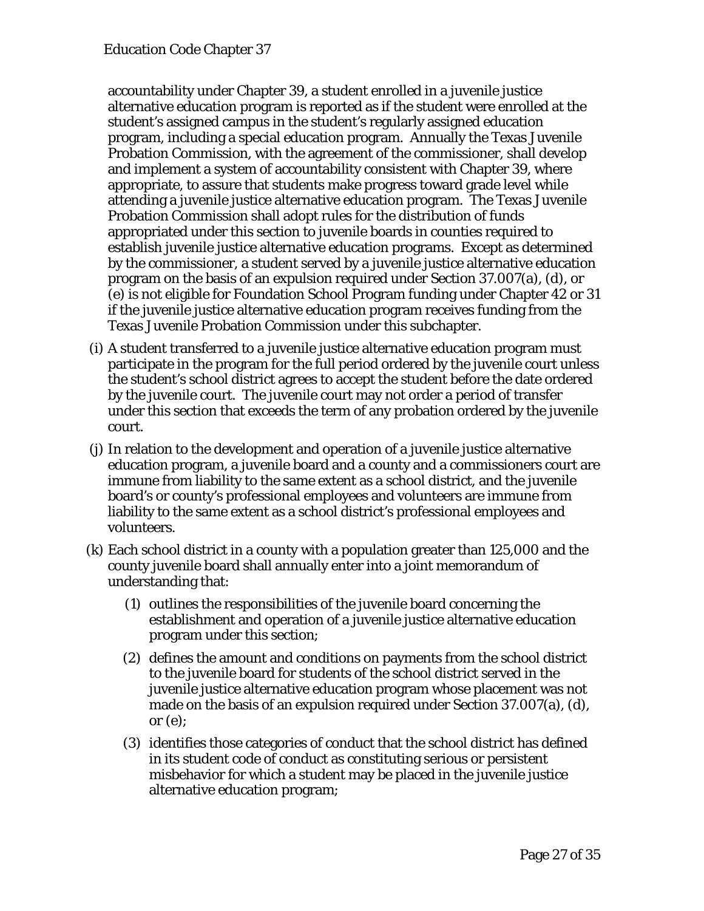accountability under Chapter 39, a student enrolled in a juvenile justice alternative education program is reported as if the student were enrolled at the student's assigned campus in the student's regularly assigned education program, including a special education program. Annually the Texas Juvenile Probation Commission, with the agreement of the commissioner, shall develop and implement a system of accountability consistent with Chapter 39, where appropriate, to assure that students make progress toward grade level while attending a juvenile justice alternative education program. The Texas Juvenile Probation Commission shall adopt rules for the distribution of funds appropriated under this section to juvenile boards in counties required to establish juvenile justice alternative education programs. Except as determined by the commissioner, a student served by a juvenile justice alternative education program on the basis of an expulsion required under Section 37.007(a), (d), or (e) is not eligible for Foundation School Program funding under Chapter 42 or 31 if the juvenile justice alternative education program receives funding from the Texas Juvenile Probation Commission under this subchapter.

- (i) A student transferred to a juvenile justice alternative education program must participate in the program for the full period ordered by the juvenile court unless the student's school district agrees to accept the student before the date ordered by the juvenile court. The juvenile court may not order a period of transfer under this section that exceeds the term of any probation ordered by the juvenile court.
- (j) In relation to the development and operation of a juvenile justice alternative education program, a juvenile board and a county and a commissioners court are immune from liability to the same extent as a school district, and the juvenile board's or county's professional employees and volunteers are immune from liability to the same extent as a school district's professional employees and volunteers.
- (k) Each school district in a county with a population greater than 125,000 and the county juvenile board shall annually enter into a joint memorandum of understanding that:
	- (1) outlines the responsibilities of the juvenile board concerning the establishment and operation of a juvenile justice alternative education program under this section;
	- (2) defines the amount and conditions on payments from the school district to the juvenile board for students of the school district served in the juvenile justice alternative education program whose placement was not made on the basis of an expulsion required under Section 37.007(a), (d), or (e);
	- (3) identifies those categories of conduct that the school district has defined in its student code of conduct as constituting serious or persistent misbehavior for which a student may be placed in the juvenile justice alternative education program;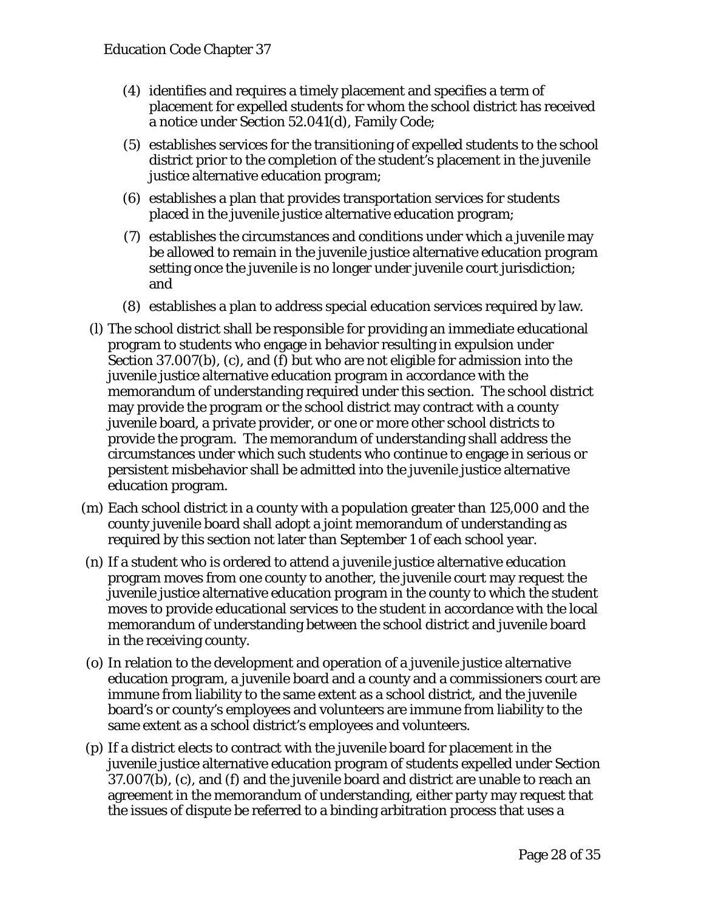- (4) identifies and requires a timely placement and specifies a term of placement for expelled students for whom the school district has received a notice under Section 52.041(d), Family Code;
- (5) establishes services for the transitioning of expelled students to the school district prior to the completion of the student's placement in the juvenile justice alternative education program;
- (6) establishes a plan that provides transportation services for students placed in the juvenile justice alternative education program;
- (7) establishes the circumstances and conditions under which a juvenile may be allowed to remain in the juvenile justice alternative education program setting once the juvenile is no longer under juvenile court jurisdiction; and
- (8) establishes a plan to address special education services required by law.
- (l) The school district shall be responsible for providing an immediate educational program to students who engage in behavior resulting in expulsion under Section 37.007(b), (c), and (f) but who are not eligible for admission into the juvenile justice alternative education program in accordance with the memorandum of understanding required under this section. The school district may provide the program or the school district may contract with a county juvenile board, a private provider, or one or more other school districts to provide the program. The memorandum of understanding shall address the circumstances under which such students who continue to engage in serious or persistent misbehavior shall be admitted into the juvenile justice alternative education program.
- (m) Each school district in a county with a population greater than 125,000 and the county juvenile board shall adopt a joint memorandum of understanding as required by this section not later than September 1 of each school year.
- (n) If a student who is ordered to attend a juvenile justice alternative education program moves from one county to another, the juvenile court may request the juvenile justice alternative education program in the county to which the student moves to provide educational services to the student in accordance with the local memorandum of understanding between the school district and juvenile board in the receiving county.
- (o) In relation to the development and operation of a juvenile justice alternative education program, a juvenile board and a county and a commissioners court are immune from liability to the same extent as a school district, and the juvenile board's or county's employees and volunteers are immune from liability to the same extent as a school district's employees and volunteers.
- (p) If a district elects to contract with the juvenile board for placement in the juvenile justice alternative education program of students expelled under Section 37.007(b), (c), and (f) and the juvenile board and district are unable to reach an agreement in the memorandum of understanding, either party may request that the issues of dispute be referred to a binding arbitration process that uses a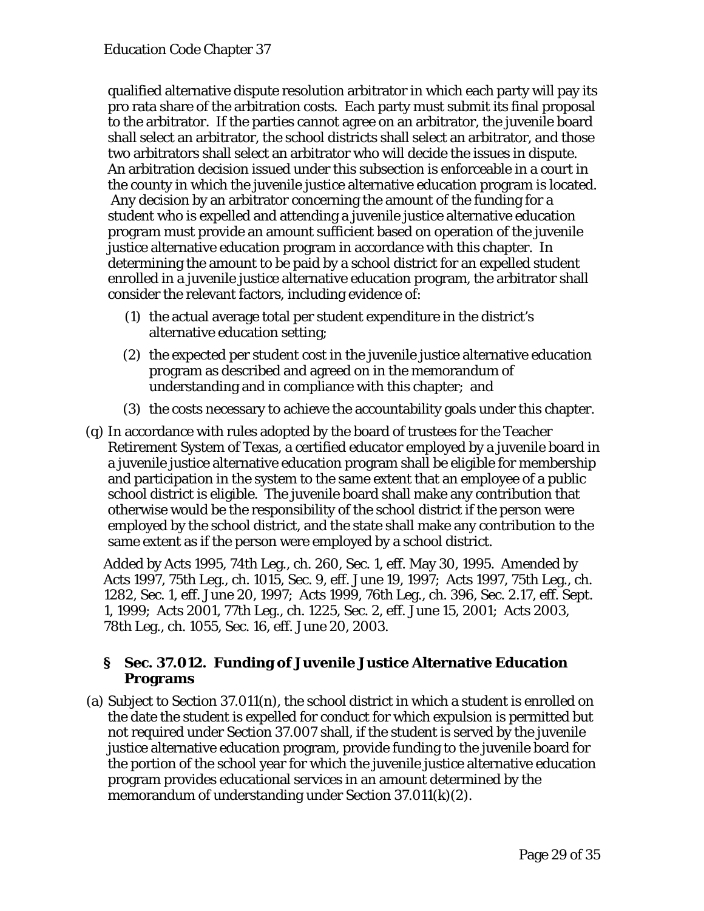qualified alternative dispute resolution arbitrator in which each party will pay its pro rata share of the arbitration costs. Each party must submit its final proposal to the arbitrator. If the parties cannot agree on an arbitrator, the juvenile board shall select an arbitrator, the school districts shall select an arbitrator, and those two arbitrators shall select an arbitrator who will decide the issues in dispute. An arbitration decision issued under this subsection is enforceable in a court in the county in which the juvenile justice alternative education program is located. Any decision by an arbitrator concerning the amount of the funding for a student who is expelled and attending a juvenile justice alternative education program must provide an amount sufficient based on operation of the juvenile justice alternative education program in accordance with this chapter. In determining the amount to be paid by a school district for an expelled student enrolled in a juvenile justice alternative education program, the arbitrator shall consider the relevant factors, including evidence of:

- (1) the actual average total per student expenditure in the district's alternative education setting;
- (2) the expected per student cost in the juvenile justice alternative education program as described and agreed on in the memorandum of understanding and in compliance with this chapter; and
- (3) the costs necessary to achieve the accountability goals under this chapter.
- (q) In accordance with rules adopted by the board of trustees for the Teacher Retirement System of Texas, a certified educator employed by a juvenile board in a juvenile justice alternative education program shall be eligible for membership and participation in the system to the same extent that an employee of a public school district is eligible. The juvenile board shall make any contribution that otherwise would be the responsibility of the school district if the person were employed by the school district, and the state shall make any contribution to the same extent as if the person were employed by a school district.

Added by Acts 1995, 74th Leg., ch. 260, Sec. 1, eff. May 30, 1995. Amended by Acts 1997, 75th Leg., ch. 1015, Sec. 9, eff. June 19, 1997; Acts 1997, 75th Leg., ch. 1282, Sec. 1, eff. June 20, 1997; Acts 1999, 76th Leg., ch. 396, Sec. 2.17, eff. Sept. 1, 1999; Acts 2001, 77th Leg., ch. 1225, Sec. 2, eff. June 15, 2001; Acts 2003, 78th Leg., ch. 1055, Sec. 16, eff. June 20, 2003.

### **§ Sec. 37.012. Funding of Juvenile Justice Alternative Education Programs**

(a) Subject to Section 37.011(n), the school district in which a student is enrolled on the date the student is expelled for conduct for which expulsion is permitted but not required under Section 37.007 shall, if the student is served by the juvenile justice alternative education program, provide funding to the juvenile board for the portion of the school year for which the juvenile justice alternative education program provides educational services in an amount determined by the memorandum of understanding under Section 37.011(k)(2).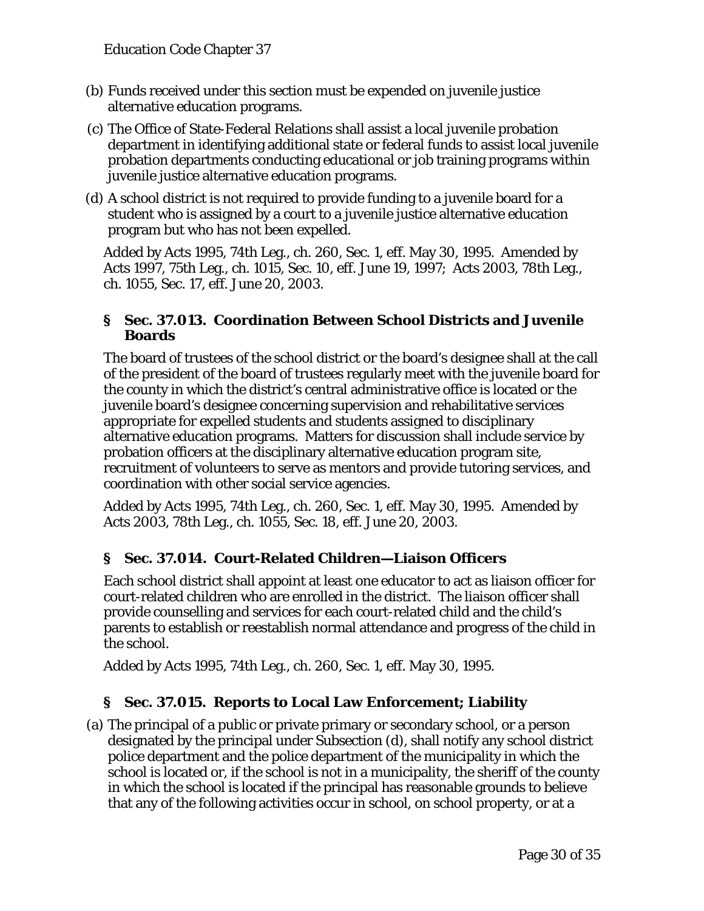Education Code Chapter 37

- (b) Funds received under this section must be expended on juvenile justice alternative education programs.
- (c) The Office of State-Federal Relations shall assist a local juvenile probation department in identifying additional state or federal funds to assist local juvenile probation departments conducting educational or job training programs within juvenile justice alternative education programs.
- (d) A school district is not required to provide funding to a juvenile board for a student who is assigned by a court to a juvenile justice alternative education program but who has not been expelled.

Added by Acts 1995, 74th Leg., ch. 260, Sec. 1, eff. May 30, 1995. Amended by Acts 1997, 75th Leg., ch. 1015, Sec. 10, eff. June 19, 1997; Acts 2003, 78th Leg., ch. 1055, Sec. 17, eff. June 20, 2003.

#### **§ Sec. 37.013. Coordination Between School Districts and Juvenile Boards**

The board of trustees of the school district or the board's designee shall at the call of the president of the board of trustees regularly meet with the juvenile board for the county in which the district's central administrative office is located or the juvenile board's designee concerning supervision and rehabilitative services appropriate for expelled students and students assigned to disciplinary alternative education programs. Matters for discussion shall include service by probation officers at the disciplinary alternative education program site, recruitment of volunteers to serve as mentors and provide tutoring services, and coordination with other social service agencies.

Added by Acts 1995, 74th Leg., ch. 260, Sec. 1, eff. May 30, 1995. Amended by Acts 2003, 78th Leg., ch. 1055, Sec. 18, eff. June 20, 2003.

# **§ Sec. 37.014. Court-Related Children—Liaison Officers**

Each school district shall appoint at least one educator to act as liaison officer for court-related children who are enrolled in the district. The liaison officer shall provide counselling and services for each court-related child and the child's parents to establish or reestablish normal attendance and progress of the child in the school.

Added by Acts 1995, 74th Leg., ch. 260, Sec. 1, eff. May 30, 1995.

### **§ Sec. 37.015. Reports to Local Law Enforcement; Liability**

(a) The principal of a public or private primary or secondary school, or a person designated by the principal under Subsection (d), shall notify any school district police department and the police department of the municipality in which the school is located or, if the school is not in a municipality, the sheriff of the county in which the school is located if the principal has reasonable grounds to believe that any of the following activities occur in school, on school property, or at a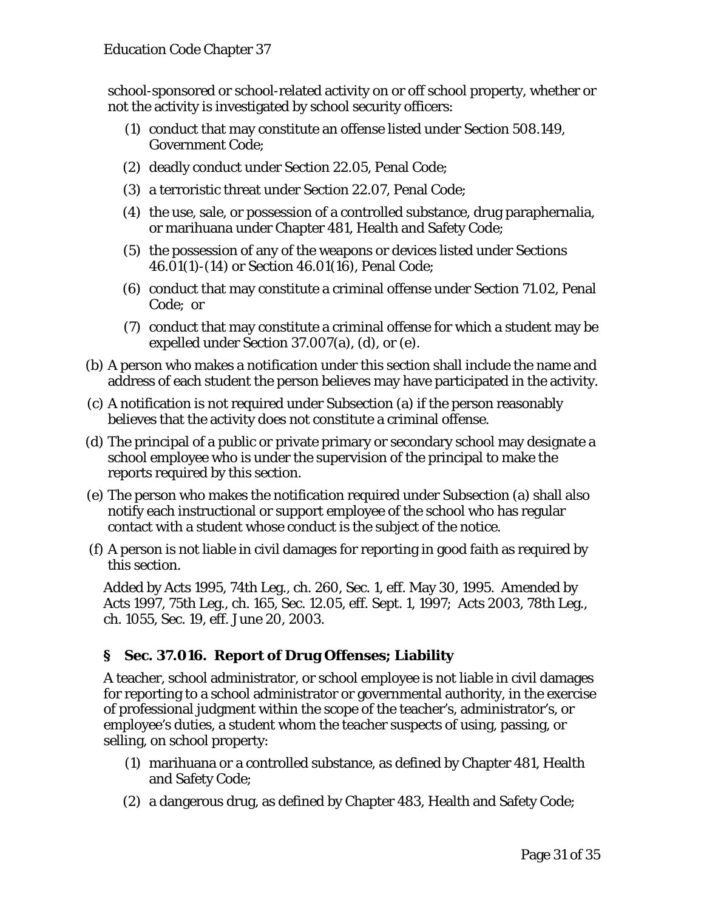school-sponsored or school-related activity on or off school property, whether or not the activity is investigated by school security officers:

- (1) conduct that may constitute an offense listed under Section 508.149, Government Code;
- (2) deadly conduct under Section 22.05, Penal Code;
- (3) a terroristic threat under Section 22.07, Penal Code;
- (4) the use, sale, or possession of a controlled substance, drug paraphernalia, or marihuana under Chapter 481, Health and Safety Code;
- (5) the possession of any of the weapons or devices listed under Sections 46.01(1)-(14) or Section 46.01(16), Penal Code;
- (6) conduct that may constitute a criminal offense under Section 71.02, Penal Code; or
- (7) conduct that may constitute a criminal offense for which a student may be expelled under Section 37.007(a), (d), or (e).
- (b) A person who makes a notification under this section shall include the name and address of each student the person believes may have participated in the activity.
- (c) A notification is not required under Subsection (a) if the person reasonably believes that the activity does not constitute a criminal offense.
- (d) The principal of a public or private primary or secondary school may designate a school employee who is under the supervision of the principal to make the reports required by this section.
- (e) The person who makes the notification required under Subsection (a) shall also notify each instructional or support employee of the school who has regular contact with a student whose conduct is the subject of the notice.
- (f) A person is not liable in civil damages for reporting in good faith as required by this section.

Added by Acts 1995, 74th Leg., ch. 260, Sec. 1, eff. May 30, 1995. Amended by Acts 1997, 75th Leg., ch. 165, Sec. 12.05, eff. Sept. 1, 1997; Acts 2003, 78th Leg., ch. 1055, Sec. 19, eff. June 20, 2003.

# **§ Sec. 37.016. Report of Drug Offenses; Liability**

A teacher, school administrator, or school employee is not liable in civil damages for reporting to a school administrator or governmental authority, in the exercise of professional judgment within the scope of the teacher's, administrator's, or employee's duties, a student whom the teacher suspects of using, passing, or selling, on school property:

- (1) marihuana or a controlled substance, as defined by Chapter 481, Health and Safety Code;
- (2) a dangerous drug, as defined by Chapter 483, Health and Safety Code;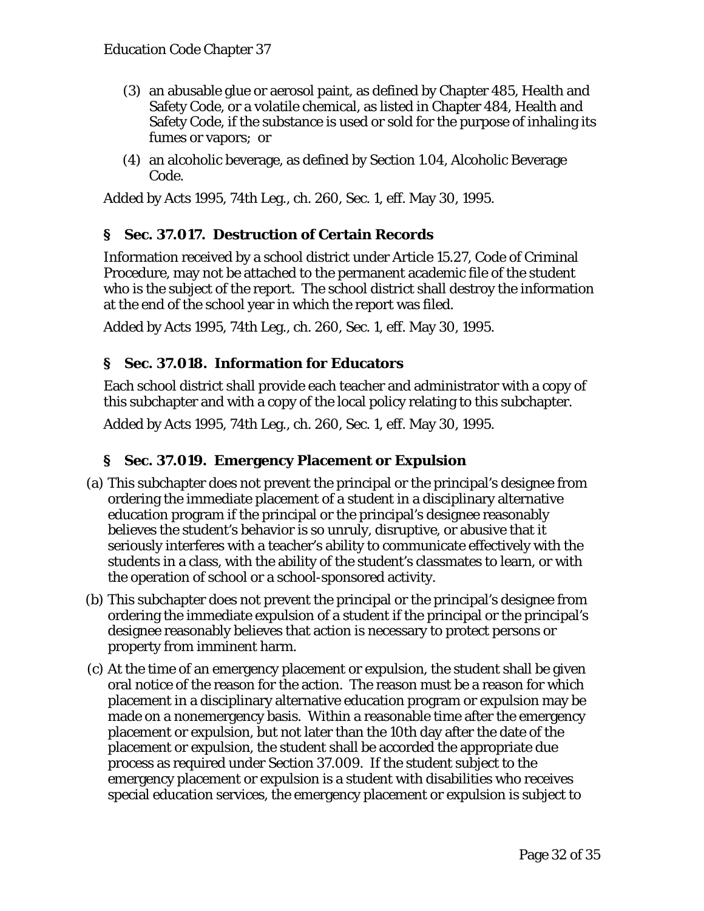- (3) an abusable glue or aerosol paint, as defined by Chapter 485, Health and Safety Code, or a volatile chemical, as listed in Chapter 484, Health and Safety Code, if the substance is used or sold for the purpose of inhaling its fumes or vapors; or
- (4) an alcoholic beverage, as defined by Section 1.04, Alcoholic Beverage Code.

Added by Acts 1995, 74th Leg., ch. 260, Sec. 1, eff. May 30, 1995.

# **§ Sec. 37.017. Destruction of Certain Records**

Information received by a school district under Article 15.27, Code of Criminal Procedure, may not be attached to the permanent academic file of the student who is the subject of the report. The school district shall destroy the information at the end of the school year in which the report was filed.

Added by Acts 1995, 74th Leg., ch. 260, Sec. 1, eff. May 30, 1995.

# **§ Sec. 37.018. Information for Educators**

Each school district shall provide each teacher and administrator with a copy of this subchapter and with a copy of the local policy relating to this subchapter.

Added by Acts 1995, 74th Leg., ch. 260, Sec. 1, eff. May 30, 1995.

# **§ Sec. 37.019. Emergency Placement or Expulsion**

- (a) This subchapter does not prevent the principal or the principal's designee from ordering the immediate placement of a student in a disciplinary alternative education program if the principal or the principal's designee reasonably believes the student's behavior is so unruly, disruptive, or abusive that it seriously interferes with a teacher's ability to communicate effectively with the students in a class, with the ability of the student's classmates to learn, or with the operation of school or a school-sponsored activity.
- (b) This subchapter does not prevent the principal or the principal's designee from ordering the immediate expulsion of a student if the principal or the principal's designee reasonably believes that action is necessary to protect persons or property from imminent harm.
- (c) At the time of an emergency placement or expulsion, the student shall be given oral notice of the reason for the action. The reason must be a reason for which placement in a disciplinary alternative education program or expulsion may be made on a nonemergency basis. Within a reasonable time after the emergency placement or expulsion, but not later than the 10th day after the date of the placement or expulsion, the student shall be accorded the appropriate due process as required under Section 37.009. If the student subject to the emergency placement or expulsion is a student with disabilities who receives special education services, the emergency placement or expulsion is subject to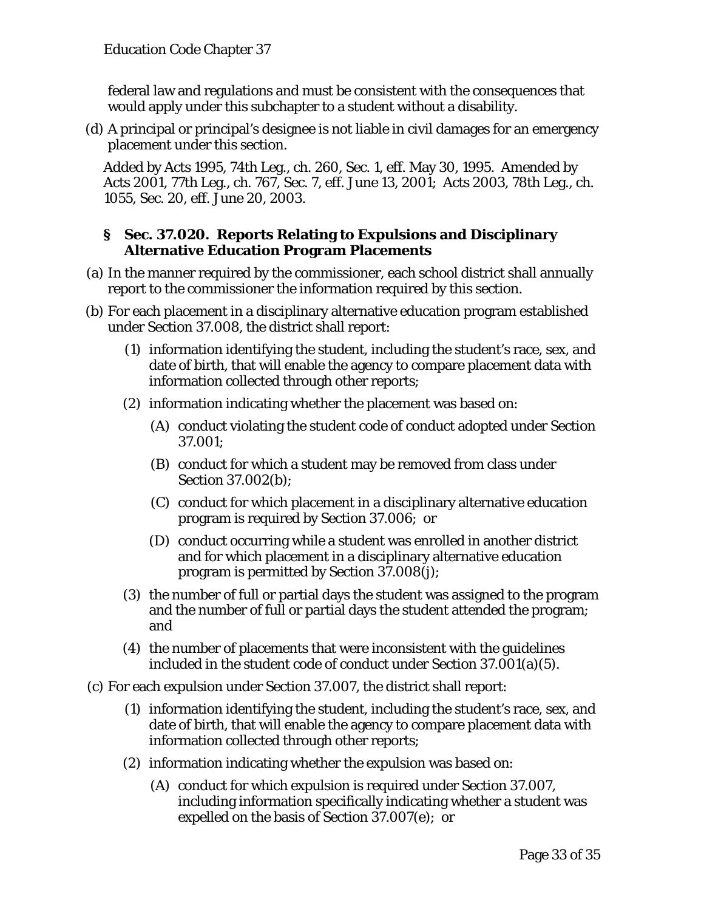federal law and regulations and must be consistent with the consequences that would apply under this subchapter to a student without a disability.

(d) A principal or principal's designee is not liable in civil damages for an emergency placement under this section.

Added by Acts 1995, 74th Leg., ch. 260, Sec. 1, eff. May 30, 1995. Amended by Acts 2001, 77th Leg., ch. 767, Sec. 7, eff. June 13, 2001; Acts 2003, 78th Leg., ch. 1055, Sec. 20, eff. June 20, 2003.

### **§ Sec. 37.020. Reports Relating to Expulsions and Disciplinary Alternative Education Program Placements**

- (a) In the manner required by the commissioner, each school district shall annually report to the commissioner the information required by this section.
- (b) For each placement in a disciplinary alternative education program established under Section 37.008, the district shall report:
	- (1) information identifying the student, including the student's race, sex, and date of birth, that will enable the agency to compare placement data with information collected through other reports;
	- (2) information indicating whether the placement was based on:
		- (A) conduct violating the student code of conduct adopted under Section 37.001;
		- (B) conduct for which a student may be removed from class under Section 37.002(b);
		- (C) conduct for which placement in a disciplinary alternative education program is required by Section 37.006; or
		- (D) conduct occurring while a student was enrolled in another district and for which placement in a disciplinary alternative education program is permitted by Section 37.008(j);
	- (3) the number of full or partial days the student was assigned to the program and the number of full or partial days the student attended the program; and
	- (4) the number of placements that were inconsistent with the guidelines included in the student code of conduct under Section 37.001(a)(5).
- (c) For each expulsion under Section 37.007, the district shall report:
	- (1) information identifying the student, including the student's race, sex, and date of birth, that will enable the agency to compare placement data with information collected through other reports;
	- (2) information indicating whether the expulsion was based on:
		- (A) conduct for which expulsion is required under Section 37.007, including information specifically indicating whether a student was expelled on the basis of Section 37.007(e); or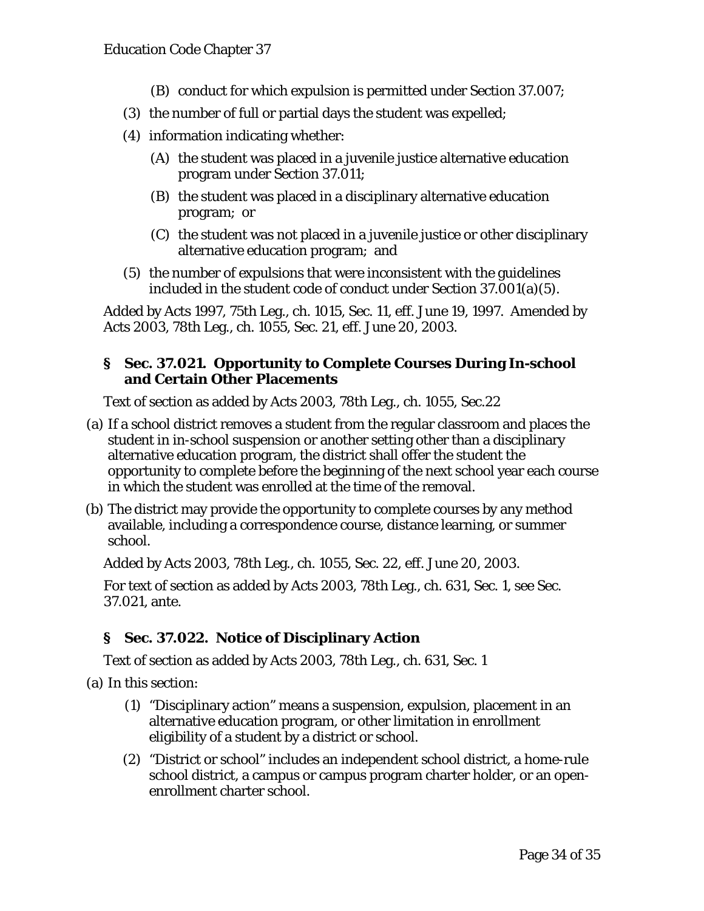- (B) conduct for which expulsion is permitted under Section 37.007;
- (3) the number of full or partial days the student was expelled;
- (4) information indicating whether:
	- (A) the student was placed in a juvenile justice alternative education program under Section 37.011;
	- (B) the student was placed in a disciplinary alternative education program; or
	- (C) the student was not placed in a juvenile justice or other disciplinary alternative education program; and
- (5) the number of expulsions that were inconsistent with the guidelines included in the student code of conduct under Section 37.001(a)(5).

Added by Acts 1997, 75th Leg., ch. 1015, Sec. 11, eff. June 19, 1997. Amended by Acts 2003, 78th Leg., ch. 1055, Sec. 21, eff. June 20, 2003.

#### **§ Sec. 37.021. Opportunity to Complete Courses During In-school and Certain Other Placements**

Text of section as added by Acts 2003, 78th Leg., ch. 1055, Sec.22

- (a) If a school district removes a student from the regular classroom and places the student in in-school suspension or another setting other than a disciplinary alternative education program, the district shall offer the student the opportunity to complete before the beginning of the next school year each course in which the student was enrolled at the time of the removal.
- (b) The district may provide the opportunity to complete courses by any method available, including a correspondence course, distance learning, or summer school.

Added by Acts 2003, 78th Leg., ch. 1055, Sec. 22, eff. June 20, 2003.

For text of section as added by Acts 2003, 78th Leg., ch. 631, Sec. 1, see Sec. 37.021, ante.

### **§ Sec. 37.022. Notice of Disciplinary Action**

Text of section as added by Acts 2003, 78th Leg., ch. 631, Sec. 1

(a) In this section:

- (1) "Disciplinary action" means a suspension, expulsion, placement in an alternative education program, or other limitation in enrollment eligibility of a student by a district or school.
- (2) "District or school" includes an independent school district, a home-rule school district, a campus or campus program charter holder, or an openenrollment charter school.